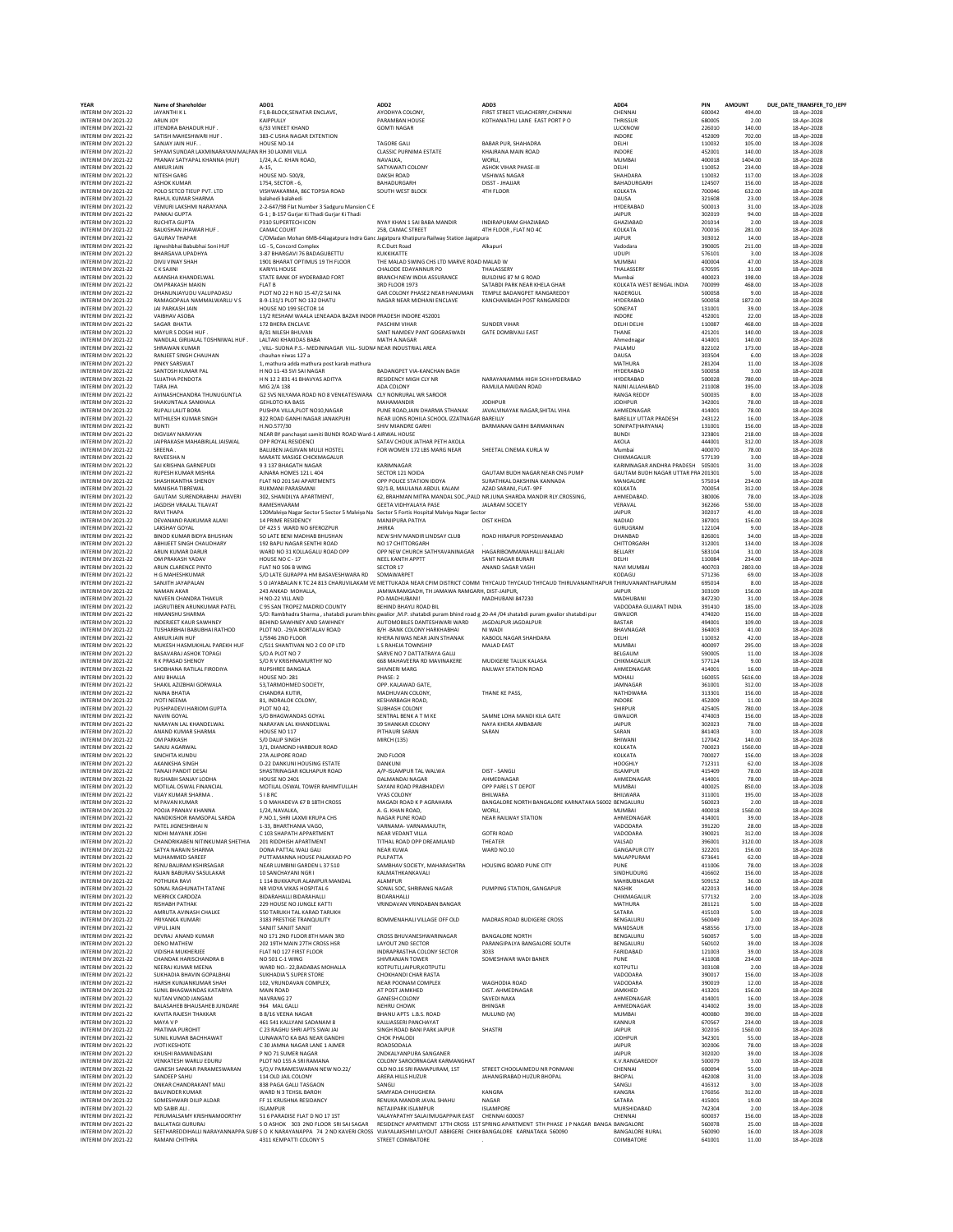| <b>YEAR</b>                                | <b>Name of Shareholder</b>                               | ADD1                                                                                                                                     | ADD <sub>2</sub>                                                   | ADD3                                                                                                                                    | ADD4                               | PIN              | <b>AMOUNT</b>     | DUE_DATE_TRANSFER_TO_IEPF  |
|--------------------------------------------|----------------------------------------------------------|------------------------------------------------------------------------------------------------------------------------------------------|--------------------------------------------------------------------|-----------------------------------------------------------------------------------------------------------------------------------------|------------------------------------|------------------|-------------------|----------------------------|
| INTERIM DIV 2021-22<br>INTERIM DIV 2021-22 | JAYANTHI K L<br>ARUN JOY                                 | F1,B-BLOCK, SENATAR ENCLAVE,<br>KAIPPULLY                                                                                                | AYODHYA COLONY,<br>PARAMBAN HOUSE                                  | FIRST STREET VELACHERRY, CHENNAI<br>KOTHANATHU LANE EAST PORT PO                                                                        | CHENNAI<br>THRISSUR                | 600042<br>680005 | 494.00<br>2.00    | 18-Apr-2028<br>18-Apr-2028 |
| INTERIM DIV 2021-22                        | JITENDRA BAHADUR HUF.                                    | 6/33 VINEET KHAND                                                                                                                        | <b>GOMTI NAGAR</b>                                                 |                                                                                                                                         | LUCKNOW                            | 226010           | 140.00            | 18-Apr-2028                |
| INTERIM DIV 2021-22                        | SATISH MAHESHWARI HUF                                    | 383-C USHA NAGAR EXTENTION                                                                                                               |                                                                    |                                                                                                                                         | INDORE                             | 452009           | 702.00            | 18-Apr-2028                |
| INTERIM DIV 2021-22                        | SANJAY JAIN HUF.                                         | HOUSE NO-14                                                                                                                              | TAGORE GALL                                                        | <b>BABAR PUR, SHAHADRA</b>                                                                                                              | DELHI                              | 110032           | 105.00            | 18-Apr-2028                |
| INTERIM DIV 2021-22                        | SHYAM SUNDAR LAXMINARAYAN MALPAN RH 30 LAXMII VILLA      |                                                                                                                                          | <b>CLASSIC PURNIMA ESTATE</b>                                      | KHAJRANA MAIN ROAD                                                                                                                      | INDORE                             | 452001           | 140.00            | 18-Apr-2028                |
| INTERIM DIV 2021-22<br>INTERIM DIV 2021-22 | PRANAV SATYAPAL KHANNA (HUF)<br>ANKUR JAIN               | 1/24, A.C. KHAN ROAD,<br>A-15.                                                                                                           | NAVALKA,<br>SATYAWATI COLONY                                       | WORLI,<br>ASHOK VIHAR PHASE-III                                                                                                         | MUMBAI<br>DELHI                    | 400018<br>110052 | 1404.00<br>234.00 | 18-Apr-2028<br>18-Apr-2028 |
| INTERIM DIV 2021-22                        | NITESH GARG                                              | <b>HOUSE NO- 500/8</b>                                                                                                                   | <b>DAKSH ROAD</b>                                                  | <b>VISHWAS NAGAR</b>                                                                                                                    | SHAHDARA                           | 110032           | 117.00            | 18-Apr-2028                |
| INTERIM DIV 2021-22                        | <b>ASHOK KUMAR</b>                                       | 1754, SECTOR - 6,                                                                                                                        | BAHADURGARH                                                        | DISST - JHAJJAR                                                                                                                         | BAHADURGARH                        | 124507           | 156.00            | 18-Apr-2028                |
| INTERIM DIV 2021-22                        | POLO SETCO TIEUP PVT. LTD                                | VISHWAKARMA, 86C TOPSIA ROAD                                                                                                             | SOUTH WEST BLOCK                                                   | 4TH FLOOR                                                                                                                               | KOLKATA                            | 700046           | 632.00            | 18-Apr-2028                |
| INTERIM DIV 2021-22                        | RAHUL KUMAR SHARMA                                       | balahedi balahedi                                                                                                                        |                                                                    |                                                                                                                                         | DAUSA                              | 321608           | 23.00             | 18-Apr-2028                |
| INTERIM DIV 2021-22<br>INTERIM DIV 2021-22 | VEMURI LAKSHMI NARAYANA                                  | 2-2-647/98 Flat Number 3 Sadguru Mansion C E                                                                                             |                                                                    |                                                                                                                                         | HYDERABAD                          | 500013           | 31.00             | 18-Apr-2028                |
| INTERIM DIV 2021-22                        | PANKAJ GUPTA<br><b>RUCHITA GUPTA</b>                     | G-1 ; B-157 Gurjar Ki Thadi Gurjar Ki Thadi<br>P310 SUPERTECH ICON                                                                       | NYAY KHAN 1 SAI BABA MANDIR                                        | INDIRAPURAM GHAZIABAD                                                                                                                   | <b>JAIPUR</b><br>GHAZIABAD         | 302019<br>201014 | 94.00<br>2.00     | 18-Apr-2028<br>18-Apr-2028 |
| INTERIM DIV 2021-22                        | BALKISHAN JHAWAR HUF.                                    | CAMAC COURT                                                                                                                              | 25B, CAMAC STREET                                                  | 4TH FLOOR, FLAT NO 4C                                                                                                                   | KOLKATA                            | 700016           | 281.00            | 18-Apr-2028                |
| INTERIM DIV 2021-22                        | <b>GAURAV THAPAR</b>                                     | C/OMadan Mohan 6MB-64Jagatpura Indra Ganc Jagatpura Khatipura Railway Station Jagatpura                                                  |                                                                    |                                                                                                                                         | JAIPUR                             | 303012           | 14.00             | 18-Apr-2028                |
| INTERIM DIV 2021-22                        | Jigneshbhai Babubhai Soni HUF                            | LG - 5, Concord Complex                                                                                                                  | R.C.Dutt Road                                                      | Alkapur                                                                                                                                 | Vadodara                           | 390005           | 211.00            | 18-Apr-2028                |
| INTERIM DIV 2021-22                        | <b>BHARGAVA UPADHYA</b>                                  | 3-87 BHARGAVI 76 BADAGUBETTU                                                                                                             | KUKKIKATTE                                                         |                                                                                                                                         | <b>UDUPI</b>                       | 576101           | 3.00              | 18-Apr-2028                |
| INTERIM DIV 2021-22<br>INTERIM DIV 2021-22 | DIVIJ VINAY SHAH<br><b>CK SAJINI</b>                     | 1901 BHARAT OPTIMUS 19 TH FLOOR<br><b>KARIYIL HOUSE</b>                                                                                  | THE MALAD SWING CHS LTD MARVE ROAD MALAD W<br>CHALODE EDAYANNUR PO | THALASSERY                                                                                                                              | MUMBAI<br>THALASSERY               | 400004<br>670595 | 47.00<br>31.00    | 18-Apr-2028<br>18-Apr-2028 |
| INTERIM DIV 2021-22                        | AKANSHA KHANDELWAL                                       | STATE BANK OF HYDERABAD FORT                                                                                                             | <b>BRANCH NEW INDIA ASSURANCE</b>                                  | BUILDING 87 M G ROAD                                                                                                                    | Mumbai                             | 400023           | 198.00            | 18-Apr-2028                |
| INTERIM DIV 2021-22                        | OM PRAKASH MAKIN                                         | <b>FLAT B</b>                                                                                                                            | 3RD FLOOR 1973                                                     | SATABDI PARK NEAR KHELA GHAR                                                                                                            | KOLKATA WEST BENGAL INDIA          | 700099           | 468.00            | 18-Apr-2028                |
| INTERIM DIV 2021-22                        | DHANUNJAYUDU VALUPADASU                                  | PLOT NO 22 H NO 15-47/2 SAI NA                                                                                                           | GAR COLONY PHASE2 NEAR HANUMAN                                     | TEMPLE BADANGPET RANGAREDDY                                                                                                             | NADERGUL                           | 500058           | 9.00              | 18-Apr-2028                |
| INTERIM DIV 2021-22                        | RAMAGOPALA NAMMALWARLU V S                               | 8-9-131/1 PLOT NO 132 DHATU                                                                                                              | NAGAR NEAR MIDHANI ENCLAVE                                         | KANCHANRAGH POST RANGAREDDI                                                                                                             | <b>HYDERABAD</b>                   | 500058           | 1872.00           | 18-Apr-2028                |
| INTERIM DIV 2021-22                        | JAI PARKASH JAIN                                         | HOUSE NO 199 SECTOR 14                                                                                                                   |                                                                    |                                                                                                                                         | SONEPAT                            | 131001           | 39.00             | 18-Apr-2028                |
| INTERIM DIV 2021-22<br>INTERIM DIV 2021-22 | VAIBHAV ASOBA<br>SAGAR BHATIA                            | 13/2 RESHAM WAALA LENEAADA BAZAR INDOF PRADESH INDORE 452001<br>172 BHERA ENCLAVE                                                        | PASCHIM VIHAR                                                      | <b>SUNDER VIHAR</b>                                                                                                                     | INDORE<br>DELHI DELHI              | 452001<br>110087 | 22.00<br>468.00   | 18-Apr-2028<br>18-Apr-2028 |
| INTERIM DIV 2021-22                        | MAYUR S DOSHI HUF                                        | <b>B/31 NILESH BHUVAN</b>                                                                                                                | SANT NAMDEV PANT GOGRASWADI                                        | <b>GATE DOMBIVALI EAST</b>                                                                                                              | THANE                              | 421201           | 140.00            | 18-Apr-2028                |
| INTERIM DIV 2021-22                        | NANDLAL GIRIJALAL TOSHNIWAL HUF.                         | <b>LALTAKI KHAKIDAS BABA</b>                                                                                                             | MATH A.NAGAR                                                       |                                                                                                                                         | Ahmednagar                         | 414001           | 140.00            | 18-Apr-2028                |
| INTERIM DIV 2021-22                        | SHRAWAN KUMAR                                            | , VILL- SUDNA P.S.- MEDININAGAR VILL- SUDNA NEAR INDUSTRIAL AREA                                                                         |                                                                    |                                                                                                                                         | PALAMU                             | 822102           | 173.00            | 18-Apr-2028                |
| INTERIM DIV 2021-22                        | RANJEET SINGH CHAUHAN                                    | chauhan niwas 127 a                                                                                                                      |                                                                    |                                                                                                                                         | DAUSA                              | 303504           | 6.00              | 18-Apr-2028                |
| INTERIM DIV 2021-22                        | PINKY SARSWAT                                            | 1, mathura adda mathura post karab mathura                                                                                               |                                                                    |                                                                                                                                         | <b>MATHURA</b>                     | 281204           | 11.00             | 18-Apr-2028                |
| INTERIM DIV 2021-22<br>INTERIM DIV 2021-22 | SANTOSH KUMAR PAL<br>SUJATHA PENDOTA                     | H NO 11-43 SVI SAI NAGAR<br>H N 12 2 831 41 BHAVYAS ADITYA                                                                               | BADANGPET VIA-KANCHAN BAGH<br>RESIDENCY MIGH CLY NR                | NARAYANAMMA HIGH SCH HYDERABAD                                                                                                          | <b>HYDERABAD</b><br>HYDERABAD      | 500058<br>500028 | 3.00<br>780.00    | 18-Apr-2028<br>18-Apr-2028 |
| INTERIM DIV 2021-22                        | <b>TARA JHA</b>                                          | MIG 2/A 138                                                                                                                              | ADA COLONY                                                         | RAMLILA MAIDAN ROAD                                                                                                                     | NAINI ALLAHABAD                    | 211008           | 195.00            | 18-Apr-2028                |
| INTERIM DIV 2021-22                        | AVINASHCHANDRA THUNUGUNTLA                               | G2 SVS NILYAMA ROAD NO 8 VENKATESWARA                                                                                                    | CLY NONRURAL WR SAROOR                                             |                                                                                                                                         | RANGA REDDY                        | 500035           | 8.00              | 18-Apr-2028                |
| INTERIM DIV 2021-22                        | SHAKUNTALA SANKHALA                                      | <b>GEHLOTO KA BASS</b>                                                                                                                   | MAHAMANDIF                                                         | <b>JODHPUR</b>                                                                                                                          | <b>JODHPUR</b>                     | 342001           | 78.00             | 18-Apr-2028                |
| INTERIM DIV 2021-22                        | <b>RUPALI LALIT BORA</b>                                 | PUSHPA VILLA, PLOT NO10, NAGAR                                                                                                           | PUNE ROAD, JAIN DHARMA STHANAK                                     | JAVALVINAYAK NAGAR, SHITAL VIHA                                                                                                         | AHMEDNAGAR                         | 414001           | 78.00             | 18-Apr-2028                |
| INTERIM DIV 2021-22                        | MITHILESH KUMAR SINGH                                    | 822 ROAD GANHI NAGAR JANAKPURI                                                                                                           | NEAR LIONS ROHILA SCHOOL IZZATNAGAR BAREILLY<br>SHIV MIANDRE GARHI |                                                                                                                                         | <b>BAREILLY UTTAR PRADESH</b>      | 243122           | 16.00             | 18-Apr-2028                |
| INTERIM DIV 2021-22<br>INTERIM DIV 2021-22 | <b>BUNTI</b><br>DIGVIJAY NARAYAN                         | H.NO.577/30                                                                                                                              |                                                                    | BARMANAN GARHI BARMANNAN                                                                                                                | SONIPAT(HARYANA)<br><b>BUNDI</b>   | 131001<br>323801 | 156.00<br>218.00  | 18-Apr-2028                |
| INTERIM DIV 2021-22                        | JAIPRAKASH MAHABIRLAL JAISWAL                            | NEAR BY panchayat samiti BUNDI ROAD Ward-1 AIRWAL HOUSE<br>OPP ROYAL RESIDENCI                                                           | SATAV CHOUK JATHAR PETH AKOLA                                      |                                                                                                                                         | AKOLA                              | 444001           | 312.00            | 18-Apr-2028<br>18-Apr-2028 |
| INTERIM DIV 2021-22                        | SREENA.                                                  | BALUBEN JAGJIVAN MULJI HOSTEL                                                                                                            | FOR WOMEN 172 LBS MARG NEAR                                        | SHEETAL CINEMA KURLA W                                                                                                                  | Mumbai                             | 400070           | 78.00             | 18-Apr-2028                |
| INTERIM DIV 2021-22                        | RAVEESHA N                                               | MARATE MASIGE CHICKMAGALUR                                                                                                               |                                                                    |                                                                                                                                         | CHIKMAGALUR                        | 577139           | 3.00              | 18-Apr-2028                |
| INTERIM DIV 2021-22                        | SAI KRISHNA GARNEPUDI                                    | 93137 BHAGATH NAGAR                                                                                                                      | KARIMNAGAR                                                         |                                                                                                                                         | KARIMNAGAR ANDHRA PRADESH          | 505001           | 31.00             | 18-Apr-2028                |
| INTERIM DIV 2021-22                        | <b>RUPESH KUMAR MISHRA</b>                               | AJNARA HOMES 121 L 404                                                                                                                   | SECTOR 121 NOIDA                                                   | GAUTAM BUDH NAGAR NEAR CNG PUMP                                                                                                         | GAUTAM BUDH NAGAR UTTAR PRA 201301 |                  | 5.00              | 18-Apr-2028                |
| INTERIM DIV 2021-22<br>INTERIM DIV 2021-22 | SHASHIKANTHA SHENOY<br>MANISHA TIBREWAL                  | FLAT NO 201 SAI APARTMENTS<br>RUKMANI PARASMANI                                                                                          | OPP POLICE STATION IDDYA<br>92/1-B, MAULANA ABDUL KALAM            | SURATHKAL DAKSHINA KANNADA<br>AZAD SARANI, FLAT- 9PI                                                                                    | MANGALORE<br>KOLKATA               | 575014<br>700054 | 234.00<br>312.00  | 18-Apr-2028<br>18-Apr-2028 |
| INTERIM DIV 2021-22                        | GAUTAM SURENDRABHAI JHAVERI                              | 302, SHANDILYA APARTMENT,                                                                                                                |                                                                    | 62, BRAHMAN MITRA MANDAL SOC., PALD NR.JUNA SHARDA MANDIR RLY.CROSSING,                                                                 | AHMEDABAD.                         | 380006           | 78.00             | 18-Apr-2028                |
| INTERIM DIV 2021-22                        | JAGDISH VRAJLAL TILAVAT                                  | RAMESHVARAM                                                                                                                              | <b>GEETA VIDHYALAYA PASE</b>                                       | <b>JALARAM SOCIETY</b>                                                                                                                  | VERAVAL                            | 362266           | 530.00            | 18-Apr-2028                |
| INTERIM DIV 2021-22                        | <b>RAVI THAPA</b>                                        | 120Malviya Nagar Sector 5 Sector 5 Malviya Na Sector 5 Fortis Hospital Malviya Nagar Sector                                              |                                                                    |                                                                                                                                         | JAIPUR                             | 302017           | 41.00             | 18-Apr-2028                |
| INTERIM DIV 2021-22                        | DEVANAND RAJKUMAR ALANI                                  | 14 PRIME RESIDENCY                                                                                                                       | MANJIPURA PATIYA                                                   | <b>DIST KHEDA</b>                                                                                                                       | NADIAD                             | 387001           | 156.00            | 18-Apr-2028                |
| INTERIM DIV 2021-22                        | <b>LAKSHAY GOYAL</b><br><b>RINOD KUMAR RIDYA RHUSHAN</b> | DF 423 5 WARD NO 6FEROZPUR                                                                                                               | JHIRKA                                                             |                                                                                                                                         | GURUGRAM                           | 122104           | 9.00              | 18-Apr-2028                |
| INTERIM DIV 2021-22<br>INTERIM DIV 2021-22 | ABHIJEET SINGH CHAUDHARY                                 | SO LATE BENI MADHAB BHUSHAN<br>192 BAPU NAGAR SENTHI ROAD                                                                                | NEW SHIV MANDIR LINDSAY CLUB<br>NO 17 CHITTORGARH                  | ROAD HIRAPUR POPSDHANABAD                                                                                                               | DHANBAD<br>CHITTORGARH             | 826001<br>312001 | 34.00<br>134.00   | 18-Apr-2028<br>18-Apr-2028 |
| INTERIM DIV 2021-22                        | ARUN KUMAR DARUR                                         | WARD NO 31 KOLLAGALU ROAD OPP                                                                                                            | OPP NEW CHURCH SATHYAVANINAGAR                                     | HAGARIBOMMANAHALLI BALLARI                                                                                                              | BELLARY                            | 583104           | 31.00             | 18-Apr-2028                |
| INTERIM DIV 2021-22                        | OM PRAKASH YADAV                                         | HOUSE NO C - 17                                                                                                                          | NEEL KANTH APPTT                                                   | <b>SANT NAGAR BURARI</b>                                                                                                                | DELHI                              | 110084           | 234.00            | 18-Apr-2028                |
| INTERIM DIV 2021-22                        | ARUN CLARENCE PINTO                                      | FLAT NO 506 B WING                                                                                                                       | SECTOR 17                                                          | ANAND SAGAR VASHI                                                                                                                       | NAVI MUMBAI                        | 400703           | 2803.00           | 18-Apr-2028                |
| INTERIM DIV 2021-22                        | H G MAHESHKUMAR                                          | S/O LATE GURAPPA HM BASAVESHWARA RD                                                                                                      | SOMAWARPET                                                         |                                                                                                                                         | KODAGU                             | 571236           | 69.00             | 18-Apr-2028                |
| INTERIM DIV 2021-22                        | SANJITH JAYAPALAN                                        |                                                                                                                                          |                                                                    | S O JAYABALAN K TC 24 813 CHARUVILAKAM VE METTUKADA NEAR CPIM DISTRICT COMM THYCAUD THYCAUD THYCAUD THIRUVANANTHAPUR THIRUVANANTHAPURAM |                                    | 695014           | 8.00              | 18-Apr-2028                |
| INTERIM DIV 2021-22<br>INTERIM DIV 2021-22 | NAMAN AKAR<br>NAVEEN CHANDRA THAKUR                      | 243 ANKAD MOHALLA<br>H NO-22 VILL AND                                                                                                    | JAMWARAMGADH, TH JAMAWA RAMGARH, DIST-JAIPUR,<br>PO-MADHUBANI!     | MADHUBANI 847230                                                                                                                        | <b>JAIPUR</b><br>MADHUBANI         | 303109<br>847230 | 156.00<br>31.00   | 18-Apr-2028<br>18-Apr-2028 |
| INTERIM DIV 2021-22                        | JAGRUTIBEN ARUNKUMAR PATEL                               | C 95 SAN TROPEZ MADRID COUNTY                                                                                                            | BEHIND BHAYLI ROAD BIL                                             |                                                                                                                                         | VADODARA GUJARAT INDIA             | 391410           | 185,00            | 18-Apr-2028                |
| INTERIM DIV 2021-22                        | HIMANSHU SHARMA                                          |                                                                                                                                          |                                                                    | S/O: Rambhadra Sharma , shatabdi puram bhint gwalior , M.P. shatabdi puram bhind road g 20-A4 /04 shatabdi puram gwalior shatabdi pur   | GWALIOR                            | 474020           | 156.00            | 18-Apr-2028                |
| INTERIM DIV 2021-22                        | INDERJEET KAUR SAWHNEY                                   | BEHIND SAWHNEY AND SAWHNEY                                                                                                               | AUTOMOBILES DANTESHWARI WARD                                       | JAGDALPUR JAGDALPUR                                                                                                                     | BASTAR                             | 494001           | 109.00            | 18-Apr-2028                |
| INTERIM DIV 2021-22                        | TUSHARBHAI BABUBHAI RATHOD                               | PLOT NO. - 29/A BORTALAV ROAD                                                                                                            | B/H - BANK COLONY HARKHABHAI                                       | NI WADI                                                                                                                                 | BHAVNAGAR                          | 364003           | 41.00             | 18-Apr-2028                |
| INTERIM DIV 2021-22                        | ANKUR JAIN HUF                                           | 1/5946 2ND FLOOF                                                                                                                         | KHERA NIWAS NEAR JAIN STHANAK                                      | KABOOL NAGAR SHAHDARA                                                                                                                   | DELHI                              | 110032           | 42.00<br>295.00   | 18-Apr-2028                |
| INTERIM DIV 2021-22<br>INTERIM DIV 2021-22 | MUKESH HASMUKHLAL PAREKH HUF<br>BASAVARAJ ASHOK TOPAGI   | C/511 SHANTIVAN NO 2 CO OP LTD<br>S/O A PLOT NO 7                                                                                        | L S RAHEJA TOWNSHIP<br>SARVE NO 7 DATTATRAYA GALLI                 | <b>MALAD EAST</b>                                                                                                                       | <b>MUMBAI</b><br>BELGAUM           | 400097<br>590005 | 11.00             | 18-Apr-2028<br>18-Apr-2028 |
| INTERIM DIV 2021-22                        | R K PRASAD SHENOY                                        | S/O R V KRISHNAMURTHY NO                                                                                                                 | 668 MAHAVEERA RD MAVINAKERE                                        | MUDIGERE TALUK KALASA                                                                                                                   | CHIKMAGALUR                        | 577124           | 9.00              | 18-Apr-2028                |
| INTERIM DIV 2021-22                        | SHOBHANA RATILAL FIRODIYA                                | <b>RUPSHREE BANGALA</b>                                                                                                                  | SHIVNERI MARG                                                      | RAILWAY STATION ROAD                                                                                                                    | AHMEDNAGAR                         | 414001           | 16.00             | 18-Apr-2028                |
| INTERIM DIV 2021-22                        | ANU BHALLA                                               | HOUSE NO: 281                                                                                                                            | PHASE: 2                                                           |                                                                                                                                         | MOHALI                             | 160055           | 5616.00           | 18-Apr-2028                |
| INTERIM DIV 2021-22                        | SHAKIL AZIZBHAI GORWALA                                  | 53, TARMOHMED SOCIETY,                                                                                                                   | OPP. KALAWAD GATE,                                                 |                                                                                                                                         | JAMNAGAR                           | 361001           | 312.00            | 18-Apr-2028                |
| INTERIM DIV 2021-22                        | <b>NAINA BHATIA</b>                                      | CHANDRA KUTIR,                                                                                                                           | MADHUVAN COLONY.                                                   | THANE KE PASS.                                                                                                                          | NATHDWARA                          | 313301           | 156.00            | 18-Apr-2028                |
| INTERIM DIV 2021-22<br>INTERIM DIV 2021-22 | <b>JYOTI NEEMA</b><br>PUSHPADEVI HARIOM GUPTA            | 81, INDRALOK COLONY,<br>PLOT NO 42,                                                                                                      | KESHARBAGH ROAD,<br>SUBHASH COLONY                                 |                                                                                                                                         | INDORE<br>SHIRPUR                  | 452009<br>425405 | 11.00<br>780.00   | 18-Apr-2028<br>18-Apr-2028 |
| INTERIM DIV 2021-22                        | <b>NAVIN GOYAL</b>                                       | S/O BHAGWANDAS GOYAL                                                                                                                     | SENTRAL BENK A T M KE                                              | SAMNE LOHA MANDI KILA GATE                                                                                                              | <b>GWALIOR</b>                     | 474003           | 156.00            | 18-Apr-2028                |
| INTERIM DIV 2021-22                        | NARAYAN LAL KHANDELWAL                                   | NARAYAN LAL KHANDELWAL                                                                                                                   | 39 SHANKAR COLONY                                                  | NAYA KHERA AMBABARI                                                                                                                     | <b>JAIPUR</b>                      | 302023           | 78.00             | 18-Apr-2028                |
| INTERIM DIV 2021-22                        | ANAND KUMAR SHARMA                                       | HOUSE NO 117                                                                                                                             | PITHAURI SARAN                                                     | SARAN                                                                                                                                   | SARAN                              | 841403           | 3.00              | 18-Apr-2028                |
| INTERIM DIV 2021-22                        | <b>OM PARKASH</b>                                        | S/O DALIP SINGH                                                                                                                          | <b>MIRCH (135)</b>                                                 |                                                                                                                                         | BHIWANI                            | 127042           | 140.00            | 18-Apr-2028                |
| INTERIM DIV 2021-22                        | SANJU AGARWAL                                            | 3/1. DIAMOND HARBOUR ROAD                                                                                                                |                                                                    |                                                                                                                                         | KOLKATA                            | 700023           | 1560.00           | 18-Apr-2028                |
| INTERIM DIV 2021-22<br>INTERIM DIV 2021-22 | SINCHITA KUNDU<br><b>AKANKSHA SINGH</b>                  | 27A ALIPORE ROAD<br><b>D-22 DANKUNI HOUSING ESTATE</b>                                                                                   | 2ND FLOOR<br>DANKUNI                                               |                                                                                                                                         | KOLKATA<br><b>HOOGHLY</b>          | 700027<br>712311 | 156.00<br>62.00   | 18-Apr-2028<br>18-Apr-2028 |
| INTERIM DIV 2021-22                        | <b>TANAJI PANDIT DESAI</b>                               | SHASTRINAGAR KOLHAPUR ROAD                                                                                                               | A/P-ISLAMPUR TAL WALWA                                             | DIST - SANGLI                                                                                                                           | <b>ISLAMPUR</b>                    | 415409           | 78.00             | 18-Apr-2028                |
| INTERIM DIV 2021-22                        | <b>RUSHARH SANJAY LODHA</b>                              | <b>HOUSE NO 2401</b>                                                                                                                     | DALMANDAI NAGAR                                                    | AHMEDNAGAR                                                                                                                              | AHMEDNAGAR                         | 414001           | 78.00             | 18-Apr-2028                |
| INTERIM DIV 2021-22                        | MOTILAL OSWAL FINANCIAL                                  | MOTILAL OSWAL TOWER RAHIMTULLAH                                                                                                          | SAYANI ROAD PRABHADEVI                                             | OPP PAREL S T DEPOT                                                                                                                     | MUMBAI                             | 400025           | 850.00            | 18-Apr-2028                |
| INTERIM DIV 2021-22                        | VIJAY KUMAR SHARMA.                                      | 518RC                                                                                                                                    | VYAS COLONY                                                        | BHILWARA                                                                                                                                | BHILWARA                           | 311001           | 195.00            | 18-Apr-2028                |
| INTERIM DIV 2021-22<br>INTERIM DIV 2021-22 | M PAVAN KUMAR<br>POOJA PRANAV KHANNA                     | S O MAHADEVA 67 B 18TH CROSS<br>1/24, NAVALKA,                                                                                           | MAGADI ROAD K P AGRAHARA<br>A. G. KHAN ROAD,                       | BANGALORE NORTH BANGALORE KARNATAKA 56002 BENGALURU<br>WORLI,                                                                           | MUMBAI                             | 560023<br>400018 | 2.00<br>1560.00   | 18-Apr-2028<br>18-Apr-2028 |
| INTERIM DIV 2021-22                        | NANDKISHOR RAMGOPAL SARDA                                | P.NO.1, SHRI LAXMI KRUPA CHS                                                                                                             | NAGAR PUNE ROAD                                                    | <b>NEAR RAILWAY STATION</b>                                                                                                             | AHMEDNAGAR                         | 414001           | 39.00             | 18-Apr-2028                |
| INTERIM DIV 2021-22                        | PATEL JIGNESHBHAI N                                      | 1-33 RHARTHANIA VAGO                                                                                                                     | VARNAMA-VARNAMAJUTH.                                               |                                                                                                                                         | VADODARA                           | 391220           | 28.00             | 18-Apr-2028                |
| INTERIM DIV 2021-22                        | NIDHI MAYANK JOSHI                                       | C 103 SHAPATH APPARTMENT                                                                                                                 | NEAR VEDANT VILLA                                                  | <b>GOTRI ROAD</b>                                                                                                                       | VADODARA                           | 390021           | 312.00            | 18-Apr-2028                |
| INTERIM DIV 2021-22<br>INTERIM DIV 2021-22 | CHANDRIKABEN NITINKUMAR SHETHIA                          | 201 RIDDHISH APARTMENT                                                                                                                   | TITHAL ROAD OPP DREAMLAND                                          | THEATER                                                                                                                                 | VALSAD                             | 396001           | 3120.00           | 18-Apr-2028                |
| INTERIM DIV 2021-22                        | SATYA NARAIN SHARMA<br>MUHAMMED SAREEF                   | DONA PATTAL WALI GALI<br>PUTTAMANNA HOUSE PALAKKAD PO                                                                                    | <b>NEAR KUWA</b><br><b>PULPATTA</b>                                | WARD NO.10                                                                                                                              | <b>GANGAPUR CITY</b><br>MALAPPURAM | 322201<br>673641 | 156.00<br>62.00   | 18-Apr-2028<br>18-Apr-2028 |
| INTERIM DIV 2021-22                        | <b>RENU BALIRAM KSHIRSAGAR</b>                           | NEAR I UMRINI GARDEN L 37 510                                                                                                            | SAMBHAV SOCIETY, MAHARASHTRA                                       | HOUSING BOARD PUNE CITY                                                                                                                 | PUNE                               | 411006           | 78.00             | 18-Apr-2028                |
| INTERIM DIV 2021-22                        | RAJAN BABURAV SASULAKAR                                  | 10 SANCHAYANI NGR I                                                                                                                      | KALMATHKANKAVALI                                                   |                                                                                                                                         | SINDHUDURG                         | 416602           | 156.00            | 18-Apr-2028                |
| INTERIM DIV 2021-22                        | POTHUKA RAVI                                             | 1 114 BUKKAPUR ALAMPUR MANDAL                                                                                                            | ALAMPUR                                                            |                                                                                                                                         | MAHRURNAGAR                        | 509152           | 36.00             | 18-Apr-2028                |
| INTERIM DIV 2021-22                        | SONAL RAGHUNATH TATANE                                   | NR VIDYA VIKAS HOSPITAL 6                                                                                                                | SONAL SOC, SHRIRANG NAGAR                                          | PUMPING STATION, GANGAPUR                                                                                                               | <b>NASHIK</b>                      | 422013           | 140.00            | 18-Apr-2028                |
| INTERIM DIV 2021-22                        | MERRICK CARDOZA                                          | BIDARAHALLI BIDARAHALLI                                                                                                                  | BIDARAHALLI                                                        |                                                                                                                                         | CHIKMAGALUR                        | 577132           | 2.00              | 18-Apr-2028                |
| INTERIM DIV 2021-22<br>INTERIM DIV 2021-22 | <b>RISHABH PATHAK</b><br>AMRUTA AVINASH CHALKE           | 229 HOUSE NO JUNGLE KATTI<br>550 TARUKH TAL KARAD TARUKH                                                                                 | VRINDAVAN VRINDABAN BANGAR                                         |                                                                                                                                         | MATHURA<br>SATARA                  | 281121<br>415103 | 5.00<br>5.00      | 18-Apr-2028<br>18-Apr-2028 |
| INTERIM DIV 2021-22                        | PRIYANKA KUMARI                                          | 3183 PRESTIGE TRANQUILITY                                                                                                                | BOMMENAHALI VILLAGE OFF OLD                                        | MADRAS ROAD BUDIGERE CROSS                                                                                                              | BENGALURU                          | 560049           | 2.00              | 18-Apr-2028                |
| INTERIM DIV 2021-22                        | <b>VIPUL JAIN</b>                                        | SANJIT SANJIT SANJIT                                                                                                                     |                                                                    |                                                                                                                                         | MANDSAUR                           | 458556           | 173.00            | 18-Apr-2028                |
| INTERIM DIV 2021-22                        | DEVRAJ ANAND KUMAR                                       | NO 171 2ND FLOOR 8TH MAIN 3RD                                                                                                            | CROSS BHUVANESHWARINAGAR                                           | <b>BANGALORE NORTH</b>                                                                                                                  | BENGALURU                          | 560057           | 5.00              | 18-Apr-2028                |
| INTERIM DIV 2021-22                        | DENO MATHEW                                              | 202 19TH MAIN 27TH CROSS HSR                                                                                                             | <b>LAYOUT 2ND SECTOR</b>                                           | PARANGIPALYA BANGALORE SOUTH                                                                                                            | BENGALURU                          | 560102           | 39.00             | 18-Apr-2028                |
| INTERIM DIV 2021-22<br>INTERIM DIV 2021-22 | <b>VIDISHA MUKHERJEE</b><br>CHANDAK HARISCHANDRA B       | FLAT NO 127 FIRST FLOOR<br>NO 501 C-1 WING                                                                                               | INDRAPRASTHA COLONY SECTOR<br>SHIVRANJAN TOWER                     | 3033<br>SOMESHWAR WADI BANER                                                                                                            | FARIDABAD<br>PUNE                  | 121003<br>411008 | 39.00<br>234.00   | 18-Apr-2028<br>18-Apr-2028 |
| INTERIM DIV 2021-22                        | NEERAJ KUMAR MEENA                                       | WARD NO.- 22, BADABAS MOHALLA                                                                                                            | KOTPUTLI, JAIPUR, KOTPUTLI                                         |                                                                                                                                         | KOTPUTLI                           | 303108           | 2.00              | 18-Apr-2028                |
| INTERIM DIV 2021-22                        | SUKHADIA RHAVIN GOPALRHAL                                | SUKHADIA'S SUPER STORE                                                                                                                   | CHOKHANDI CHAR RASTA                                               |                                                                                                                                         | VADODARA                           | 390017           | 156.00            | 18-Apr-2028                |
| INTERIM DIV 2021-22                        | HARSH KUNJANKUMAR SHAH                                   | 102, VRUNDAVAN COMPLEX,                                                                                                                  | NEAR POONAM COMPLEX                                                | WAGHODIA ROAD                                                                                                                           | VADODARA                           | 390019           | 12.00             | 18-Apr-2028                |
| INTERIM DIV 2021-22                        | SUNIL BHAGWANDAS KATARIYA                                | MAIN ROAD                                                                                                                                | AT POST JAMKHED                                                    | DIST. AHMEDNAGAR                                                                                                                        | JAMKHED                            | 413201           | 156.00            | 18-Apr-2028                |
| INTERIM DIV 2021-22                        | NUTAN VINOD JANGAM                                       | NAVRANG <sub>27</sub>                                                                                                                    | <b>GANESH COLONY</b>                                               | <b>SAVEDI NAKA</b>                                                                                                                      | AHMEDNAGAR                         | 414001           | 16.00             | 18-Apr-2028                |
| INTERIM DIV 2021-22<br>INTERIM DIV 2021-22 | BALASAHEB BHAUSAHEB JUNDARE<br>KAVITA RAJESH THAKKAR     | 964 MAL GALLI<br><b>B 8/16 VEENA NAGAR</b>                                                                                               | NEHRU CHOWK<br>BHANU APTS L.B.S. ROAD                              | BHINGAR<br>MULUND (W)                                                                                                                   | AHMEDNAGAR<br>MUMBAI               | 414002<br>400080 | 39.00<br>390.00   | 18-Apr-2028<br>18-Apr-2028 |
| INTERIM DIV 2021-22                        | MAYA V P                                                 | 461 541 KALLYANI SADANAM 8                                                                                                               | KALLIASSERI PANCHAYAT                                              |                                                                                                                                         | KANNUR                             | 670567           | 234.00            | 18-Apr-2028                |
| INTERIM DIV 2021-22                        | PRATIMA PUROHIT                                          | C 23 RAGHU SHRI APTS SWAI JAI                                                                                                            | SINGH ROAD BANI PARK JAIPUR                                        | SHASTRI                                                                                                                                 | <b>JAIPUR</b>                      | 302016           | 1560.00           | 18-Apr-2028                |
| INTERIM DIV 2021-22                        | SUNIL KUMAR BACHHAWAT                                    | LUNAWATO KA BAS NEAR GANDHI                                                                                                              | CHOK PHALODI                                                       |                                                                                                                                         | <b>JODHPUR</b>                     | 342301           | 55.00             | 18-Apr-2028                |
| INTERIM DIV 2021-22                        | JYOTI KESHOTE                                            | C 30 JAMNA NAGAR LANE 1 AJMER                                                                                                            | ROADSODALA                                                         |                                                                                                                                         | <b>JAIPUR</b>                      | 302006           | 78.00             | 18-Apr-2028                |
| INTERIM DIV 2021-22                        | KHUSHI RAMANDASANI                                       | P NO 71 SUMER NAGAR                                                                                                                      | 2NDKALYANPURA SANGANER                                             |                                                                                                                                         | JAIPUR                             | 302020           | 39.00             | 18-Apr-2028                |
| INTERIM DIV 2021-22<br>INTERIM DIV 2021-22 | VENKATESH WARLU EDURU<br>GANESH SANKAR PARAMESWARAN      | PLOT NO 155 A SRI RAMANA<br>S/O,V PARAMESWARAN NEW NO.22/                                                                                | COLONY SAROORNAGAR KARMANGHAT<br>OLD NO.16 SRI RAMAPURAM, 1ST      | STREET CHOOLAIMEDU NR PONMANI                                                                                                           | K.V.RANGAREDDY<br>CHENNAI          | 500079<br>600094 | 3.00<br>55.00     | 18-Apr-2028                |
| INTERIM DIV 2021-22                        | SANDEEP SAHU                                             | 114 OLD JAIL COLONY                                                                                                                      | ARERA HILLS HUZUR                                                  | JAHANGIRABAD HUZUR BHOPAL                                                                                                               | <b>BHOPAL</b>                      | 462008           | 31.00             | 18-Apr-2028<br>18-Apr-2028 |
| INTERIM DIV 2021-22                        | ONKAR CHANDRAKANT MALI                                   | 838 PAGA GALLI TASGAON                                                                                                                   | SANGLI                                                             |                                                                                                                                         | SANGLI                             | 416312           | 3.00              | 18-Apr-2028                |
| INTERIM DIV 2021-22                        | <b>BALVINDER KUMAR</b>                                   | WARD N 3 TEHSIL BAROH                                                                                                                    | SAMYADA CHHUGHERA                                                  | KANGRA                                                                                                                                  | KANGRA                             | 176056           | 312.00            | 18-Apr-2028                |
| INTERIM DIV 2021-22                        | SOMESHWARI DILIP ALDAR                                   | FF 11 KRUSHNA RESIDANCY                                                                                                                  | RENUKA MANDIR JAVAL SHAHU                                          | NAGAR                                                                                                                                   | SATARA                             | 415001           | 19.00             | 18-Apr-2028                |
| INTERIM DIV 2021-22                        | MD SABIR ALI.                                            | <b>ISLAMPUR</b>                                                                                                                          | NETAJIPARK ISLAMPUR                                                | <b>ISLAMPORF</b>                                                                                                                        | MURSHIDABAD                        | 742304           | 2.00              | 18-Apr-2028                |
| INTERIM DIV 2021-22<br>INTERIM DIV 2021-22 | PERUMALSAMY KRISHNAMOORTHY<br><b>BALLATAGI GURURAJ</b>   | 51 6 PARADISE FLAT D NO 17 1ST<br>S O ASHOK 303 2ND FLOOR SRI SAI SAGAR                                                                  | VALAYAPATHY SALAI!MUGAPPAIR EAST CHENNAI 600037                    | RESIDENCY APARTMENT 17TH CROSS 151 SPRING APARTMENT 5TH PHASE J P NAGAR BANGA BANGALORE                                                 | CHENNAI                            | 600037<br>560078 | 156.00<br>25.00   | 18-Apr-2028<br>18-Apr-2028 |
| INTERIM DIV 2021-22                        |                                                          | SEETHAREDDIHALLI NARAYANNAPPA SUBI S O K NARAYANAPPA 74 2 ND KAVERI CROSS VIJAYALAKSHMI LAYOUT ABBIGERE CHIKI BANGALORE KARNATAKA 560090 |                                                                    |                                                                                                                                         | <b>BANGALORE RURAL</b>             | 560090           | 16.00             | 18-Apr-2028                |
| INTERIM DIV 2021-22                        | RAMANI CHITHRA                                           | 4311 KEMPATTI COLONY 5                                                                                                                   | STREET COIMBATORE                                                  |                                                                                                                                         | COIMBATORE                         | 641001           | 11.00             | 18-Apr-2028                |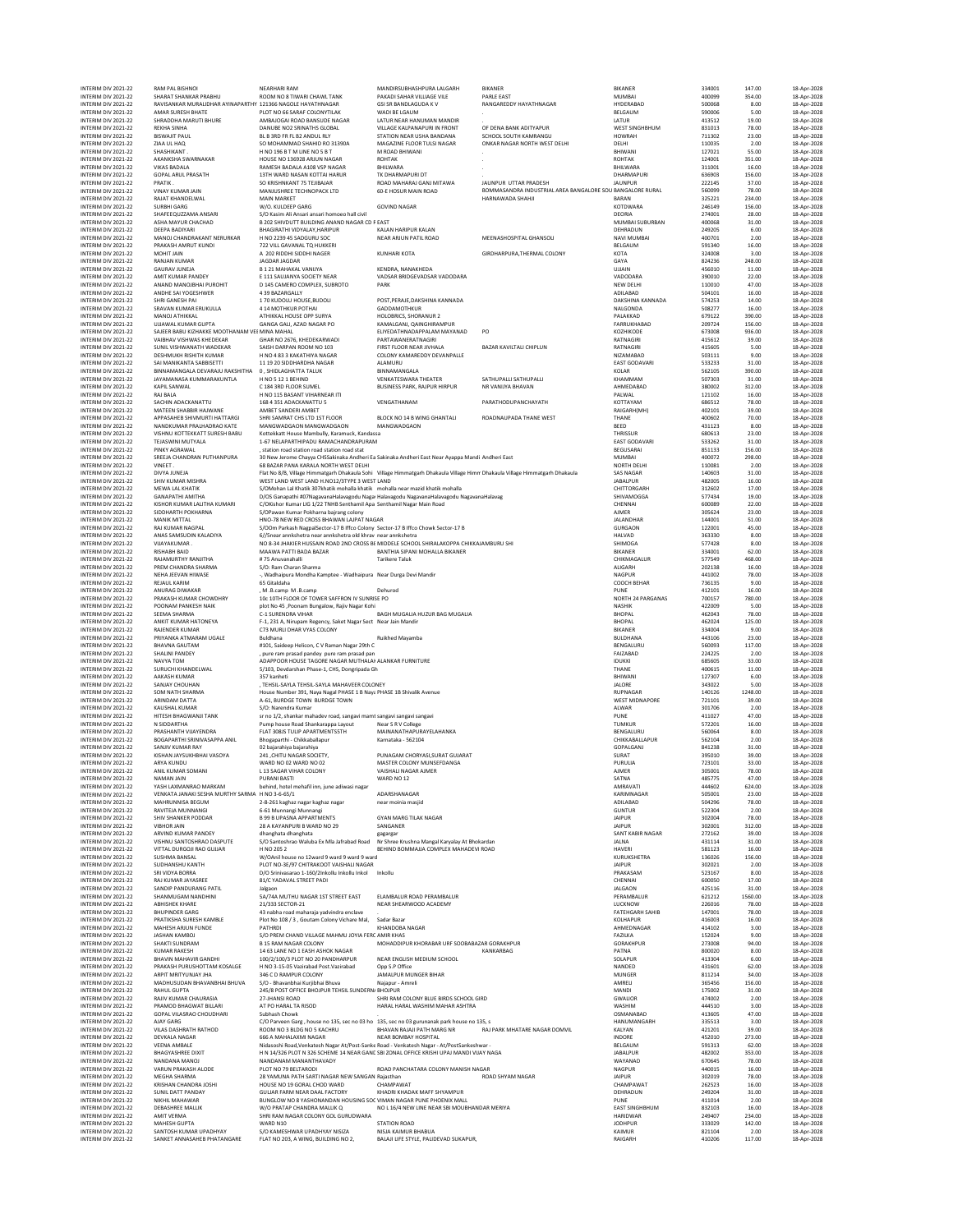| INTERIM DIV 2021-22                        | RAM PAL BISHNOI                                                           | <b>NEARHARI RAM</b>                                                                                                                       | MANDIRSUBHASHPURA LALGARH                                                              | <b>BIKANER</b>                                            | <b>BIKANER</b>                    | 334001           | 147.00          | 18-Apr-2028                |
|--------------------------------------------|---------------------------------------------------------------------------|-------------------------------------------------------------------------------------------------------------------------------------------|----------------------------------------------------------------------------------------|-----------------------------------------------------------|-----------------------------------|------------------|-----------------|----------------------------|
| INTERIM DIV 2021-22                        | SHARAT SHANKAR PRABHU                                                     | ROOM NO 8 TIWARI CHAWL TANK                                                                                                               | PAKADI SAHAR VILLIAGE VILE                                                             | PARLE EAST                                                | <b>MUMBAI</b>                     | 400099           | 354.00          | 18-Apr-2028                |
| INTERIM DIV 2021-22                        | RAVISANKAR MURALIDHAR AYINAPARTHY 121366 NAGOLE HAYATHNAGAR               |                                                                                                                                           | GSLSR BANDLAGUDA K V                                                                   | RANGAREDDY HAYATHNAGAR                                    | HYDERABAD                         | 500068           | 8.00            | 18-Apr-2028                |
| INTERIM DIV 2021-22                        | AMAR SURESH BHATE                                                         | PLOT NO 66 SARAF COLONYTILAK                                                                                                              | WADI BE LGAUM                                                                          |                                                           | BELGAUM                           | 590006           | 5.00            | 18-Apr-2028                |
| INTERIM DIV 2021-22<br>INTERIM DIV 2021-22 | SHRADDHA MARUTI BHURE                                                     | AMBAJOGAI ROAD BANSUDE NAGAR<br>DANUBE NO2 SRINATHS GLOBAL                                                                                | LATUR NEAR HANUMAN MANDIR<br>VIII AGE KALPANAPLIRI IN FRONT                            | OF DENA BANK ADITYAPUR                                    | LATUR<br>WEST SINGHBHUM           | 413512<br>831013 | 19.00<br>78.00  | 18-Apr-2028                |
| INTERIM DIV 2021-22                        | <b>REKHA SINHA</b><br><b>BISWAJIT PAUL</b>                                | BL B 3RD FR FL B2 ANDUL RLY                                                                                                               | STATION NEAR USHA BANDANA                                                              | SCHOOL SOUTH KAMRANGU                                     | <b>HOWRAH</b>                     | 711302           | 23.00           | 18-Apr-2028<br>18-Apr-2028 |
| INTERIM DIV 2021-22                        | ZIAA UL HAQ                                                               | SO MOHAMMAD SHAHID RO 31390A                                                                                                              | MAGAZINE FLOOR TULSI NAGAR                                                             | ONKAR NAGAR NORTH WEST DELHI                              | DELHI                             | 110035           | 2.00            | 18-Apr-2028                |
| INTERIM DIV 2021-22                        | SHASHIKANT.                                                               | H NO 196 B T M LINE NO 5 B T                                                                                                              | M ROAD BHIWANI                                                                         |                                                           | BHIWANI                           | 127021           | 55.00           | 18-Apr-2028                |
| INTERIM DIV 2021-22                        | AKANKSHA SWARNAKAR                                                        | HOUSE NO 136928 ARJUN NAGAR                                                                                                               | <b>ROHTAK</b>                                                                          |                                                           | ROHTAK                            | 124001           | 351.00          | 18-Apr-2028                |
| INTERIM DIV 2021-22                        | <b>VIKAS BADALA</b><br><b>GOPAL ARUL PRASATH</b>                          | RAMESH BADALA A108 VSP NAGAR                                                                                                              | BHILWARA                                                                               |                                                           | BHILWARA<br>DHARMAPURI            | 311001           | 16.00           | 18-Apr-2028<br>18-Apr-2028 |
| INTERIM DIV 2021-22<br>INTERIM DIV 2021-22 | PRATIK.                                                                   | 13TH WARD NASAN KOTTAI HARUR<br>SO KRISHNKANT 75 TEJIBAJAR                                                                                | TK DHARMAPURI DT<br>ROAD MAHARAJ GANJ MITAWA                                           | JAUNPUR UTTAR PRADESH                                     | JAUNPUR                           | 636903<br>222145 | 156.00<br>37.00 | 18-Apr-2028                |
| INTERIM DIV 2021-22                        | VINAY KUMAR JAIN                                                          | MANJUSHREE TECHNOPACK LTD                                                                                                                 | 60-E HOSUR MAIN ROAD                                                                   | BOMMASANDRA INDUSTRIAL AREA BANGALORE SOU BANGALORE RURAL |                                   | 560099           | 78.00           | 18-Apr-2028                |
| INTERIM DIV 2021-22                        | RAJAT KHANDELWAL                                                          | <b>MAIN MARKET</b>                                                                                                                        |                                                                                        | HARNAWADA SHAHJI                                          | <b>BARAN</b>                      | 325221           | 234.00          | 18-Apr-2028                |
| INTERIM DIV 2021-22                        | SURBHI GARG                                                               | W/O. KULDEEP GARG                                                                                                                         | <b>GOVIND NAGAR</b>                                                                    |                                                           | KOTDWARA                          | 246149           | 156.00          | 18-Apr-2028                |
| INTERIM DIV 2021-22                        | SHAFEEQUZZAMA ANSARI                                                      | S/O Kasim Ali Ansari ansari homoeo hall civi                                                                                              |                                                                                        |                                                           | <b>DEORIA</b>                     | 274001           | 28.00           | 18-Apr-2028                |
| INTERIM DIV 2021-22<br>INTERIM DIV 2021-22 | ASHA MAYUR CHACHAD<br>DEEPA BADIYARI                                      | B 202 SHIVDUTT BUILDING ANAND NAGAR CD F EAST<br>BHAGIRATHI VIDYALAY, HARIPUR                                                             | KALAN HARIPUR KALAN                                                                    |                                                           | MUMBAI SUBURBAN<br>DEHRADUN       | 400068<br>249205 | 31.00<br>6.00   | 18-Apr-2028<br>18-Apr-2028 |
| INTERIM DIV 2021-22                        | MANOJ CHANDRAKANT NERURKAR                                                | H NO 2239 45 SADGURU SOC                                                                                                                  | NEAR ARJUN PATIL ROAD                                                                  | MEENASHOSPITAL GHANSOLI                                   | NAVI MUMBAI                       | 400701           | 2.00            | 18-Apr-2028                |
| INTERIM DIV 2021-22                        | PRAKASH AMRUT KUNDI                                                       | 722 VILL GAVANAL TO HUKKER                                                                                                                |                                                                                        |                                                           | BELGAUM                           | 591340           | 16.00           | 18-Apr-2028                |
| INTERIM DIV 2021-22                        | MOHIT JAIN                                                                | A 202 RIDDHI SIDDHI NAGER                                                                                                                 | KUNHARI KOTA                                                                           | GIRDHARPURA, THERMAL COLONY                               | KOTA                              | 324008           | 3.00            | 18-Apr-2028                |
| INTERIM DIV 2021-22                        | RANJAN KUMAR                                                              | JAGDAR JAGDAR                                                                                                                             |                                                                                        |                                                           | GAYA                              | 824236           | 248.00          | 18-Apr-2028                |
| INTERIM DIV 2021-22                        | <b>GAURAV JUNEJA</b>                                                      | <b>B121 MAHAKAL VANUYA</b>                                                                                                                | KENDRA, NANAKHEDA                                                                      |                                                           | UJJAIN                            | 456010           | 11.00           | 18-Apr-2028                |
| INTERIM DIV 2021-22                        | AMIT KUMAR PANDEY                                                         | F 111 SAUJANYA SOCIETY NEAR                                                                                                               | VADSAR BRIDGEVADSAR VADODARA                                                           |                                                           | VADODARA                          | 390010           | 22.00<br>47.00  | 18-Anr-2028                |
| INTERIM DIV 2021-22<br>INTERIM DIV 2021-22 | ANAND MANOJBHAI PUROHIT<br>ANDHE SALYOGESHWER                             | D 145 CAMERO COMPLEX, SUBROTO<br>4 39 BAZARGALLY                                                                                          | PARK                                                                                   |                                                           | NEW DELHI<br>ADILABAD             | 110010<br>504101 | 16.00           | 18-Apr-2028<br>18-Apr-2028 |
| INTERIM DIV 2021-22                        | SHRI GANESH PAI                                                           | 170 KUDOLU HOUSE, BUDOLI                                                                                                                  | POST.PERAJE.DAKSHINA KANNADA                                                           |                                                           | DAKSHINA KANNADA                  | 574253           | 14.00           | 18-Apr-2028                |
| INTERIM DIV 2021-22                        | SRAVAN KUMAR ERUKULLA                                                     | 4 14 MOTHKUR POTHAI                                                                                                                       | GADDAMOTHKUR                                                                           |                                                           | NALGONDA                          | 508277           | 16.00           | 18-Apr-2028                |
| INTERIM DIV 2021-22                        | MANOJ ATHIKKAL                                                            | ATHIKKAL HOUSE OPP SURYA                                                                                                                  | HOLOBRICS, SHORANUR 2                                                                  |                                                           | PALAKKAD                          | 679122           | 390.00          | 18-Apr-2028                |
| INTERIM DIV 2021-22                        | <b>UJJAWAL KUMAR GUPTA</b>                                                | GANGA GALI, AZAD NAGAR PO                                                                                                                 | KAMALGANJ, QAINGHIRAMPUR                                                               |                                                           | FARRUKHABAD                       | 209724           | 156.00          | 18-Apr-2028                |
| INTERIM DIV 2021-22<br>INTERIM DIV 2021-22 | SAJEER BABU KIZHAKKE MOOTHANAM VEI MINA MAHAL<br>VAIBHAV VISHWAS KHEDEKAR | GHAR NO 2676, KHEDEKARWADI                                                                                                                | ELIYEDATHNADAPPALAM MAYANAD<br>PARTAWANERATNAGIRI                                      | PO                                                        | KOZHIKODE<br><b>RATNAGIRI</b>     | 673008<br>415612 | 936.00<br>39.00 | 18-Apr-2028<br>18-Apr-2028 |
| INTERIM DIV 2021-22                        | SUNIL VISHWANATH WADEKAR                                                  | SAISH DARPAN ROOM NO 103                                                                                                                  | FIRST FLOOR NEAR JIVHALA                                                               | BAZAR KAVILTALI CHIPLUN                                   | RATNAGIRI                         | 415605           | 5.00            | 18-Apr-2028                |
| INTERIM DIV 2021-22                        | DESHMUKH RISHITH KUMAR                                                    | H NO 4 83 3 KAKATHIYA NAGAR                                                                                                               | COLONY KAMAREDDY DEVANPALLE                                                            |                                                           | NIZAMABAD                         | 503111           | 9.00            | 18-Apr-2028                |
| INTERIM DIV 2021-22                        | SAI MANIKANTA SABBISETTI                                                  | 11 19 20 SIDDHARDHA NAGAR                                                                                                                 | ALAMURU                                                                                |                                                           | EAST GODAVARI                     | 533233           | 31.00           | 18-Apr-2028                |
| INTERIM DIV 2021-22                        | BINNAMANGALA DEVARAJU RAKSHITHA 0, SHIDLAGHATTA TALUK                     |                                                                                                                                           | BINNAMANGALA                                                                           |                                                           | KOLAR                             | 562105           | 390.00          | 18-Apr-2028                |
| INTERIM DIV 2021-22                        | JAYAMANASA KUMMARAKUNTLA                                                  | H NO 5 12 1 BEHIND                                                                                                                        | VENKATESWARA THEATER                                                                   | SATHUPALLI SATHUPALLI                                     | KHAMMAM                           | 507303           | 31.00           | 18-Apr-2028                |
| INTERIM DIV 2021-22<br>INTERIM DIV 2021-22 | <b>KAPIL SANWAL</b><br>RAJ BALA                                           | C 184 3RD FLOOR SUMEL                                                                                                                     | <b>BUSINESS PARK, RAJPUR HIRPUR</b>                                                    | NR VANUYA BHAVAN                                          | AHMEDABAD<br>PALWAL               | 380002<br>121102 | 312.00<br>16.00 | 18-Apr-2028                |
| INTERIM DIV 2021-22                        | SACHIN ADACKANATTU                                                        | H NO 115 BASANT VIHARNEAR ITI<br>168 4 351 ADACKANATTU 5                                                                                  | VENGATHANAM                                                                            | PARATHODUPANCHAYATH                                       | KOTTAYAM                          | 686512           | 78.00           | 18-Apr-2028<br>18-Apr-2028 |
| INTERIM DIV 2021-22                        | MATEEN SHABBIR HAJWANE                                                    | AMBET SANDERI AMBET                                                                                                                       |                                                                                        |                                                           | RAIGARH(MH)                       | 402101           | 39.00           | 18-Apr-2028                |
| INTERIM DIV 2021-22                        | APPASAHER SHIVMURTI HATTARGI                                              | SHRI SAMRAT CHS LTD 1ST FLOOR                                                                                                             | BLOCK NO 14 B WING GHANTALI                                                            | ROADNAUPADA THANE WEST                                    | THANE                             | 400602           | 70.00           | 18-Apr-2028                |
| INTERIM DIV 2021-22                        | NANDKUMAR PRALHADRAO KATE                                                 | MANGWADGAON MANGWADGAON                                                                                                                   | MANGWADGAON                                                                            |                                                           | BEED                              | 431123           | 8.00            | 18-Apr-2028                |
| INTERIM DIV 2021-22                        | VISHNU KOTTEKKATT SURESH BABU                                             | Kottekkatt House Mambully, Karamuck, Kandassa                                                                                             |                                                                                        |                                                           | THRISSUR                          | 680613           | 23.00           | 18-Apr-2028                |
| INTERIM DIV 2021-22                        | TEJASWINI MUTYALA                                                         | 1-67 NELAPARTHIPADU RAMACHANDRAPURAM                                                                                                      |                                                                                        |                                                           | EAST GODAVARI                     | 533262           | 31.00           | 18-Apr-2028                |
| INTERIM DIV 2021-22                        | PINKY AGRAWAL                                                             | , station road station road station road stat                                                                                             |                                                                                        |                                                           | BEGUSARAI                         | 851133           | 156.00          | 18-Apr-2028                |
| INTERIM DIV 2021-22<br>INTERIM DIV 2021-22 | SREEJA CHANDRAN PUTHANPURA<br>VINEET                                      | 30 New Jerome Chayya CHSSakinaka Andheri Ea Sakinaka Andheri East Near Ayappa Mandi Andheri East<br>68 BAZAR PANA KARALA NORTH WEST DELHI |                                                                                        |                                                           | <b>MUMBAI</b><br>NORTH DELHI      | 400072<br>110081 | 298.00<br>2.00  | 18-Apr-2028<br>18-Apr-2028 |
| INTERIM DIV 2021-22                        | DIVYA JUNEJA                                                              | Flat No 8/B, Village Himmatgarh Dhakaula Sohi Village Himmatgarh Dhakaula Village Himn Dhakaula Village Himmatgarh Dhakaula               |                                                                                        |                                                           | <b>SAS NAGAR</b>                  | 140603           | 31.00           | 18-Anr-2028                |
| INTERIM DIV 2021-22                        | SHIV KUMAR MISHRA                                                         | WEST LAND WEST LAND H.NO12/3TYPE 3 WEST LAND                                                                                              |                                                                                        |                                                           | <b>JABALPUR</b>                   | 482005           | 16.00           | 18-Apr-2028                |
| INTERIM DIV 2021-22                        | MEWA LAL KHATIK                                                           | S/OMohan Lal Khatik 307khatik mohalla khatik mohalla near mazid khatik mohalla                                                            |                                                                                        |                                                           | CHITTORGARH                       | 312602           | 17.00           | 18-Apr-2028                |
| INTERIM DIV 2021-22                        | <b>GANAPATHI AMITHA</b>                                                   | D/OS Ganapathi #07NagayanaHalayagodu Naga Halayagodu NagayanaHalayagodu NagayanaHalayag                                                   |                                                                                        |                                                           | SHIVAMOGGA                        | 577434           | 19.00           | 18-Apr-2028                |
| INTERIM DIV 2021-22                        | KISHOR KUMAR LALITHA KUMARI                                               | C/OKishor Kumar LIG 1/22 TNHB Senthamil Apa Senthamil Nagar Main Road                                                                     |                                                                                        |                                                           | CHENNAI                           | 600089           | 22.00           | 18-Apr-2028                |
| INTERIM DIV 2021-22                        | SIDDHARTH POKHARNA                                                        | S/OPawan Kumar Pokharna bajrang colony                                                                                                    |                                                                                        |                                                           | <b>AJMER</b>                      | 305624           | 23.00           | 18-Apr-2028<br>18-Anr-2028 |
| INTERIM DIV 2021-22<br>INTERIM DIV 2021-22 | <b>MANIK MITTAL</b><br>RAJ KUMAR NAGPAL                                   | HNO-78 NEW RED CROSS BHAWAN LAJPAT NAGAR<br>S/OOm Parkash NagpalSector-17 B Iffco Colony Sector-17 B Iffco Chowk Sector-17 B              |                                                                                        |                                                           | <b>JALANDHAR</b><br>GURGAON       | 144001<br>122001 | 51.00<br>45.00  | 18-Apr-2028                |
| INTERIM DIV 2021-22                        | ANAS SAMSUDIN KALADIYA                                                    | 6//Snear annkshetra near annkshetra old khrav near annkshetra                                                                             |                                                                                        |                                                           | HALVAD                            | 363330           | 8.00            | 18-Apr-2028                |
| INTERIM DIV 2021-22                        | VIJAYAKUMAR.                                                              | NO 8-34 JHAKIER HUSSAIN ROAD 2ND CROSS BI MIDDELE SCHOOL SHIRALAKOPPA CHIKKAJAMBURU SHI                                                   |                                                                                        |                                                           | SHIMOGA                           | 577428           | 8.00            | 18-Apr-2028                |
| INTERIM DIV 2021-22                        | <b>RISHABH BAID</b>                                                       | MAAWA PATTI BADA BAZAR                                                                                                                    | BANTHIA SIPANI MOHALLA BIKANER                                                         |                                                           | <b>BIKANER</b>                    | 334001           | 62.00           | 18-Apr-2028                |
| INTERIM DIV 2021-22                        | RAJAMURTHY RANJITHA                                                       | #75 Anuvanahalli                                                                                                                          | <b>Tarikere Taluk</b>                                                                  |                                                           | CHIKMAGALUR                       | 577549           | 468.00          | 18-Apr-2028                |
| INTERIM DIV 2021-22                        | PREM CHANDRA SHARMA                                                       | S/O: Ram Charan Sharma                                                                                                                    |                                                                                        |                                                           | ALIGARH                           | 202138           | 16.00           | 18-Apr-2028                |
| INTERIM DIV 2021-22<br>INTERIM DIV 2021-22 | NEHA JEEVAN HIWASE<br><b>REJAUL KARIM</b>                                 | -, Wadhaipura Mondha Kamptee - Wadhaipura Near Durga Devi Mandir<br>65 Gitaldaha                                                          |                                                                                        |                                                           | NAGPUR<br>COOCH BEHAR             | 441002<br>736135 | 78.00<br>9.00   | 18-Apr-2028<br>18-Apr-2028 |
| INTERIM DIV 2021-22                        | ANURAG DIWAKAR                                                            | , M.B.camp M.B.camp                                                                                                                       | Dehurod                                                                                |                                                           | PUNE                              | 412101           | 16.00           | 18-Apr-2028                |
| INTERIM DIV 2021-22                        | PRAKASH KUMAR CHOWDHRY                                                    | 10c 10TH FLOOR OF TOWER SAFFRON IV SUNRISE PO                                                                                             |                                                                                        |                                                           | NORTH 24 PARGANAS                 | 700157           | 780.00          | 18-Apr-2028                |
| INTERIM DIV 2021-22                        | POONAM PANKESH NAIK                                                       | plot No 45, Poonam Bungalow, Rajiv Nagar Kohi                                                                                             |                                                                                        |                                                           | <b>NASHIK</b>                     | 422009           | 5.00            | 18-Apr-2028                |
| INTERIM DIV 2021-22                        | SEEMA SHARMA                                                              | C-1 SURENDRA VIHAR                                                                                                                        | BAGH MUGALIA HUZUR BAG MUGALIA                                                         |                                                           | <b>BHOPAL</b>                     | 462043           | 78.00           | 18-Apr-2028                |
| INTERIM DIV 2021-22                        | ANKIT KUMAR HATONEYA                                                      | F-1, 231 A, Nirupam Regency, Saket Nagar Sect Near Jain Mandir                                                                            |                                                                                        |                                                           | <b>BHOPAL</b>                     | 462024           | 125.00          | 18-Apr-2028                |
| INTERIM DIV 2021-22<br>INTERIM DIV 2021-22 | <b>RAJENDER KUMAR</b><br>PRIYANKA ATMARAM UGALE                           | C73 MURLI DHAR VYAS COLONY<br>Buldhana                                                                                                    | Ruikhed Mayamba                                                                        |                                                           | <b>BIKANER</b><br><b>BULDHANA</b> | 334004<br>443106 | 9.00<br>23.00   | 18-Apr-2028<br>18-Apr-2028 |
| INTERIM DIV 2021-22                        | <b>BHAVNA GAUTAM</b>                                                      | #101, Saideep Helicon, C V Raman Nagar 29th C                                                                                             |                                                                                        |                                                           | BENGALURU                         | 560093           | 117.00          | 18-Apr-2028                |
| INTERIM DIV 2021-22                        | SHALINI PANDEY                                                            | , pure ram prasad pandey pure ram prasad pan                                                                                              |                                                                                        |                                                           | FAIZABAD                          | 224225           | 2.00            | 18-Apr-2028                |
| INTERIM DIV 2021-22                        | NAVYA TOM                                                                 | ADAPPOOR HOUSE TAGORE NAGAR MUTHALAI ALANKAR FURNITURE                                                                                    |                                                                                        |                                                           | <b>IDUKKI</b>                     | 685605           | 33.00           | 18-Apr-2028                |
| INTERIM DIV 2021-22                        | SURUCHI KHANDELWAL                                                        | 5/103, Devdarshan Phase-1, CHS, Dongripada Gh                                                                                             |                                                                                        |                                                           | THANE                             | 400615           | 11.00           | 18-Apr-2028                |
| INTERIM DIV 2021-22                        | AAKASH KUMAR                                                              | 357 kanheti                                                                                                                               |                                                                                        |                                                           | BHIWANI                           | 127307           | 6.00            | 18-Apr-2028                |
| INTERIM DIV 2021-22<br>INTERIM DIV 2021-22 | SANJAY CHOUHAN<br>SOM NATH SHARMA                                         | , TEHSIL-SAYLA TEHSIL-SAYLA MAHAVEER COLONEY<br>House Number 391, Naya Nagal PHASE 1 B Naya PHASE 1B Shivalik Avenue                      |                                                                                        |                                                           | JALORE<br><b>RUPNAGAR</b>         | 343022<br>140126 | 5.00<br>1248.00 | 18-Apr-2028<br>18-Apr-2028 |
| INTERIM DIV 2021-22                        | ARINDAM DATTA                                                             | A-61, BURDGE TOWN BURDGE TOWN                                                                                                             |                                                                                        |                                                           | <b>WEST MIDNAPORE</b>             | 721101           | 39.00           | 18-Apr-2028                |
| INTERIM DIV 2021-22                        | KAUSHAL KUMAR                                                             | S/O: Narendra Kumar                                                                                                                       |                                                                                        |                                                           | ALWAR                             | 301706           | 2.00            | 18-Apr-2028                |
| INTERIM DIV 2021-22                        | HITESH BHAGWANJI TANK                                                     | sr no 1/2, shankar mahadev road, sangavi mamt sangavi sangavi sangavi                                                                     |                                                                                        |                                                           | PUNE                              | 411027           | 47.00           | 18-Apr-2028                |
| INTERIM DIV 2021-22                        | N SIDDARTHA                                                               | Pump house Road Shankarappa Layout                                                                                                        | Near S R V College                                                                     |                                                           | TUMKUR                            | 572201           | 16.00           | 18-Apr-2028                |
| INTERIM DIV 2021-22                        | PRASHANTH VIJAYENDRA                                                      | FLAT 308JS TULIP APARTMENTSSTH                                                                                                            | MAINANATHAPURAYELAHANKA                                                                |                                                           | BENGALURU                         | 560064           | 8.00            | 18-Apr-2028                |
| INTERIM DIV 2021-22<br>INTERIM DIV 2021-22 | BOGAPARTHI SRINIVASAPPA ANIL<br>SANJIV KUMAR RAY                          | Bhogaparthi - Chikkaballapur                                                                                                              | Karnataka - 562104                                                                     |                                                           | CHIKKABALLAPUR<br>GOPALGANJ       | 562104<br>841238 | 2.00<br>31.00   | 18-Apr-2028                |
| INTERIM DIV 2021-22                        | KISHAN JAYSUKHRHAI VASOYA                                                 | 02 bajarahiya bajarahiya<br>241 CHITU NAGAR SOCIETY                                                                                       | PUNAGAM CHORYASI SURAT GUJARAT                                                         |                                                           | SURAT                             | 395010           | 39.00           | 18-Apr-2028<br>18-Apr-2028 |
| INTERIM DIV 2021-22                        | ARYA KUNDU                                                                | WARD NO 02 WARD NO 02                                                                                                                     | MASTER COLONY MUNSEEDANGA                                                              |                                                           | PURULIA                           | 723101           | 33.00           | 18-Apr-2028                |
| INTERIM DIV 2021-22                        | ANIL KUMAR SOMANI                                                         | L 13 SAGAR VIHAR COLONY                                                                                                                   | VAISHALI NAGAR AJMER                                                                   |                                                           | AJMER                             | 305001           | 78.00           | 18-Apr-2028                |
| INTERIM DIV 2021-22                        | NAMAN JAIN                                                                | PURANI BASTI                                                                                                                              | WARD NO 12                                                                             |                                                           | SATNA                             | 485775           | 47.00           | 18-Apr-2028                |
| INTERIM DIV 2021-22<br>INTERIM DIV 2021-22 | YASH LAXMANRAO MARKAM<br>VENKATA JANAKI SESHA MURTHY SARMA H NO 3-6-65/1  | behind, hotel mehafil inn, june adiwasi nagar                                                                                             | ADARSHANAGAR                                                                           |                                                           |                                   |                  |                 | 18-Apr-2028                |
| INTERIM DIV 2021-22                        | MAHRUNNISA BEGUM                                                          | 2-8-261 kaghaz nagar kaghaz nagar                                                                                                         |                                                                                        |                                                           | AMRAVATI                          | 444602           | 624.00          |                            |
| INTERIM DIV 2021-22                        | RAVITEJA MUNNANGI                                                         |                                                                                                                                           |                                                                                        |                                                           | KARIMNAGAR                        | 505001           | 23.00           | 18-Apr-2028                |
| INTERIM DIV 2021-22                        |                                                                           | 6-61 Munnangi Munnangi                                                                                                                    | near moinia masjid                                                                     |                                                           | ADILABAD<br><b>GUNTUR</b>         | 504296<br>522304 | 78.00<br>2.00   | 18-Apr-2028<br>18-Apr-2028 |
| INTERIM DIV 2021-22                        | SHIV SHANKER PODDAR                                                       | <b>B 99 B UPASNA APPARTMENTS</b>                                                                                                          | <b>GYAN MARG TILAK NAGAR</b>                                                           |                                                           | JAIPUR                            | 302004           | 78.00           | 18-Apr-2028                |
|                                            | VIRHOR IAIN                                                               | 28 A KAYANPURI B WARD NO 29                                                                                                               | SANGANER                                                                               |                                                           | <b>JAIPUR</b>                     | 302001           | 312.00          | 18-Apr-2028                |
| INTERIM DIV 2021-22                        | ARVIND KUMAR PANDEY                                                       | dhanghata dhanghata                                                                                                                       | gagargar                                                                               |                                                           | SANT KABIR NAGAR                  | 272162           | 39.00           | 18-Apr-2028                |
| INTERIM DIV 2021-22<br>INTERIM DIV 2021-22 | VISHNU SANTOSHRAO DASPUTE<br>VITTAL DURGOJI RAO GUJJAR                    | S/O Santoshrao Waluba Ex Mla Jafrabad Road<br>H NO 205 2                                                                                  | Nr Shree Krushna Mangal Karyalay At Bhokardan<br>BEHIND BOMMAJJA COMPLEX MAHADEVI ROAD |                                                           | JALNA<br><b>HAVERI</b>            | 431114<br>581123 | 31.00<br>16.00  | 18-Apr-2028<br>18-Apr-2028 |
| INTERIM DIV 2021-22                        | <b>SUSHMA BANSAL</b>                                                      | W/OAnil house no 12ward 9 ward 9 ward 9 ward                                                                                              |                                                                                        |                                                           | KURUKSHETRA                       | 136026           | 156.00          | 18-Apr-2028                |
| INTERIM DIV 2021-22                        | SUDHANSHU KANTH                                                           | PLOT NO-3E/97 CHITRAKOOT VAISHALI NAGAR                                                                                                   |                                                                                        |                                                           | JAIPUR                            | 302021           | 2.00            | 18-Anr-2028                |
| INTERIM DIV 2021-22                        | SRI VIDYA BORRA                                                           | D/O Srinivasarao 1-160/2Inkollu Inkollu Inkol                                                                                             | Inkollu                                                                                |                                                           | PRAKASAM                          | 523167           | 8.00            | 18-Apr-2028                |
| INTERIM DIV 2021-22                        | RAJ KUMAR JAYASREE                                                        | 81/C YADAVAL STREET PADI                                                                                                                  |                                                                                        |                                                           | CHENNAI                           | 600050           | 17.00           | 18-Apr-2028                |
| INTERIM DIV 2021-22                        | SANDIP PANDURANG PATIL                                                    | Jalgaon                                                                                                                                   |                                                                                        |                                                           | <b>JALGAON</b>                    | 425116           | 31.00           | 18-Anr-2028                |
| INTERIM DIV 2021-22                        | SHANMUGAM NANDHINI                                                        | 5A/74A MUTHU NAGAR 1ST STREET EAST                                                                                                        | ELAMBALUR ROAD PERAMBALUR                                                              |                                                           | PERAMBALUR                        | 621212           | 1560.00         | 18-Apr-2028                |
| INTERIM DIV 2021-22<br>INTERIM DIV 2021-22 | <b>ARHISHEK KHARE</b><br><b>BHUPINDER GARG</b>                            | 21/333 SECTOR-21<br>43 nabha road maharaia vadvindra enclave                                                                              | NEAR SHEARWOOD ACADEMY                                                                 |                                                           | LUCKNOW<br><b>FATEHGARH SAHIB</b> | 226016<br>147001 | 78.00<br>78.00  | 18-Apr-2028<br>18-Apr-2028 |
| INTERIM DIV 2021-22                        | PRATIKSHA SURESH KAMBLE                                                   | Plot No 108 / 3, Goutam Colony Vichare Mal,                                                                                               | Sadar Bazar                                                                            |                                                           | KOLHAPUR                          | 416003           | 16.00           | 18-Apr-2028                |
| INTERIM DIV 2021-22                        | MAHESH ARJUN FUNDE                                                        | <b>PATHRDI</b>                                                                                                                            | KHANDOBA NAGAR                                                                         |                                                           | AHMEDNAGAR                        | 414102           | 3.00            | 18-Apr-2028                |
| INTERIM DIV 2021-22                        | <b>JASHAN KAMROL</b>                                                      | S/O PREM CHAND VILLAGE MAHMU JOYIA FERC AMIR KHAS                                                                                         |                                                                                        |                                                           | FAZILKA                           | 152024           | 9.00            | 18-Apr-2028                |
| INTERIM DIV 2021-22                        | SHAKTI SUNDRAM                                                            | <b>B 15 RAM NAGAR COLONY</b>                                                                                                              | MOHADDIPUR KHORABAR URF SOOBABAZAR GORAKHPUR                                           |                                                           | GORAKHPUR                         | 273008           | 94.00           | 18-Apr-2028                |
| INTERIM DIV 2021-22<br>INTERIM DIV 2021-22 | <b>KUMAR RAKESH</b><br><b>RHAVIN MAHAVIR GANDHI</b>                       | 14 63 LANE NO 1 FASH ASHOK NAGAR                                                                                                          |                                                                                        | KANKARBAG                                                 | PATNA<br>SOLAPUR                  | 800020           | 8.00<br>6.00    | 18-Apr-2028                |
| INTERIM DIV 2021-22                        | PRAKASH PURUSHOTTAM KOSALGE                                               | 100/2/100/3 PLOT NO 20 PANDHARPUR<br>H NO 3-15-05 Vazirabad Post.Vazirabad                                                                | NEAR ENGLISH MEDIUM SCHOOL<br>Opp S.P Office                                           |                                                           | NANDED                            | 413304<br>431601 | 62.00           | 18-Apr-2028<br>18-Apr-2028 |
| INTERIM DIV 2021-22                        | ARPIT MRITYUNJAY JHA                                                      | 346 C D RAMPUR COLONY                                                                                                                     | JAMALPUR MUNGER BIHAR                                                                  |                                                           | <b>MUNGER</b>                     | 811214           | 34.00           | 18-Anr-2028                |
| INTERIM DIV 2021-22                        | MADHUSUDAN BHAVANBHAI BHUVA                                               | S/O - Bhavanbhai Kurjibhai Bhuva                                                                                                          | Najapur - Amreli                                                                       |                                                           | AMRELI                            | 365456           | 156.00          | 18-Apr-2028                |
| INTERIM DIV 2021-22                        | RAHUL GUPTA                                                               | 245/8 POST OFFICE BHOJPUR TEHSIL SUNDERN. BHOJPUR                                                                                         |                                                                                        |                                                           | MANDI                             | 175002           | 31.00           | 18-Apr-2028                |
| INTERIM DIV 2021-22                        | RAJIV KUMAR CHAURASIA                                                     | 27-JHANSI ROAD                                                                                                                            | SHRI RAM COLONY BLUE BIRDS SCHOOL GIRD                                                 |                                                           | <b>GWALIOR</b>                    | 474002           | 2.00            | 18-Apr-2028                |
| INTERIM DIV 2021-22                        | PRAMOD BHAGWAT BILLARI                                                    | AT PO HARAL TA RISOD                                                                                                                      | HARAL HARAL WASHIM MAHAR ASHTRA                                                        |                                                           | WASHIM                            | 444510           | 3.00            | 18-Apr-2028                |
| INTERIM DIV 2021-22<br>INTERIM DIV 2021-22 | GOPAL VILASRAO CHOUDHARI<br>AJAY GARG                                     | Subhash Chowk                                                                                                                             |                                                                                        |                                                           | OSMANABAD<br>HANUMANGARH          | 413605<br>335513 | 47.00<br>3.00   | 18-Apr-2028                |
| INTERIM DIV 2021-22                        | VILAS DASHRATH RATHOD                                                     | C/O Parveen Garg, house no 135, sec no 03 ho 135, sec no 03 gurunanak park house no 135, s<br>ROOM NO 3 BLDG NO 5 KACHRU                  | BHAVAN RAJAJI PATH MARG NR                                                             | RAJ PARK MHATARE NAGAR DOMVIL                             | KALYAN                            | 421201           | 39.00           | 18-Apr-2028<br>18-Apr-2028 |
| INTERIM DIV 2021-22                        | <b>DEVKALA NAGAR</b>                                                      | 666 A MAHALAXMI NAGAR                                                                                                                     | NEAR BOMBAY HOSPITAL                                                                   |                                                           | INDORE                            | 452010           | 273.00          | 18-Apr-2028                |
| INTERIM DIV 2021-22                        | <b>VEENA AMBALE</b>                                                       | Nidasoshi Road, Venkatesh Nagar At/Post-Sanke Road - Venkatesh Nagar - At/PostSankeshwar -                                                |                                                                                        |                                                           | BELGAUM                           | 591313           | 62.00           | 18-Apr-2028                |
| INTERIM DIV 2021-22                        | <b>BHAGYASHREE DIXIT</b>                                                  | H N 14/326 PLOT N 326 SCHEME 14 NEAR GANL SBI ZONAL OFFICE KRISHI UPAJ MANDI VIJAY NAGA                                                   |                                                                                        |                                                           | JABALPUR                          | 482002           | 353.00          | 18-Apr-2028                |
| INTERIM DIV 2021-22                        | NANDANA MANOJ                                                             | NANDANAM MANANTHAVADY                                                                                                                     |                                                                                        |                                                           | WAYANAD                           | 670645           | 78.00           | 18-Apr-2028                |
| INTERIM DIV 2021-22                        | VARUN PRAKASH ALODE                                                       | PLOT NO 79 BELTARODI                                                                                                                      | ROAD PANCHATARA COLONY MANISH NAGAR                                                    |                                                           | NAGPUR                            | 440015           | 16.00           | 18-Apr-2028                |
| INTERIM DIV 2021-22<br>INTERIM DIV 2021-22 | MEGHA SHARMA<br>KRISHAN CHANDRA JOSHI                                     | 28 YAMUNA PATH SARTI NAGAR NEW SANGAN Rajasthan<br>HOUSE NO 19 GORAL CHOD WARD                                                            | CHAMPAWAT                                                                              | ROAD SHYAM NAGAR                                          | JAIPUR<br>CHAMPAWAT               | 302019<br>262523 | 78.00<br>16.00  | 18-Apr-2028<br>18-Apr-2028 |
| INTERIM DIV 2021-22                        | <b>SUNIL DATT PANDAY</b>                                                  | GULJAR FARM NEAR DAAL FACTORY                                                                                                             | KHADRI KHADAK MAFF SHYAMPUR                                                            |                                                           | DEHRADUN                          | 249204           | 31.00           |                            |
| INTERIM DIV 2021-22                        | NIKHIL MAHAWAR                                                            | BUNGLOW NO 8 YASHONANDAN HOUSING SOC VIMAN NAGAR PUNE PHOENIX MALL                                                                        |                                                                                        |                                                           | PUNE                              | 411014           | 2.00            | 18-Apr-2028<br>18-Apr-2028 |
| INTERIM DIV 2021-22                        | <b>DEBASHREE MALLIK</b>                                                   | W/O PRATAP CHANDRA MALLIK Q                                                                                                               | NO L 16/4 NEW LINE NEAR SBI MOUBHANDAR MERIYA                                          |                                                           | <b>EAST SINGHBHUM</b>             | 832103           | 16.00           | 18-Apr-2028                |
| INTERIM DIV 2021-22                        | AMIT VERMA                                                                | SHRI RAM NAGAR COLONY GOL GURUDWARA                                                                                                       |                                                                                        |                                                           | HARIDWAR                          | 249407           | 234.00          | 18-Apr-2028                |
| INTERIM DIV 2021-22<br>INTERIM DIV 2021-22 | MAHESH GUPTA<br>SANTOSH KUMAR UPADHYAY                                    | WARD N10                                                                                                                                  | <b>STATION ROAD</b><br>NISJA KAIMUR BHABUA                                             |                                                           | JODHPUR<br>KAIMUR                 | 333029           | 142.00          | 18-Apr-2028                |
| INTERIM DIV 2021-22                        | SANKET ANNASAHEB PHATANGARE                                               | S/O KAMESHWAR UPADHYAY NISIZA<br>FLAT NO 203, A WING, BUILDING NO 2,                                                                      | BALAJI LIFE STYLE, PALIDEVAD SUKAPUR,                                                  |                                                           | RAIGARH                           | 821104<br>410206 | 2.00<br>117.00  | 18-Apr-2028<br>18-Apr-2028 |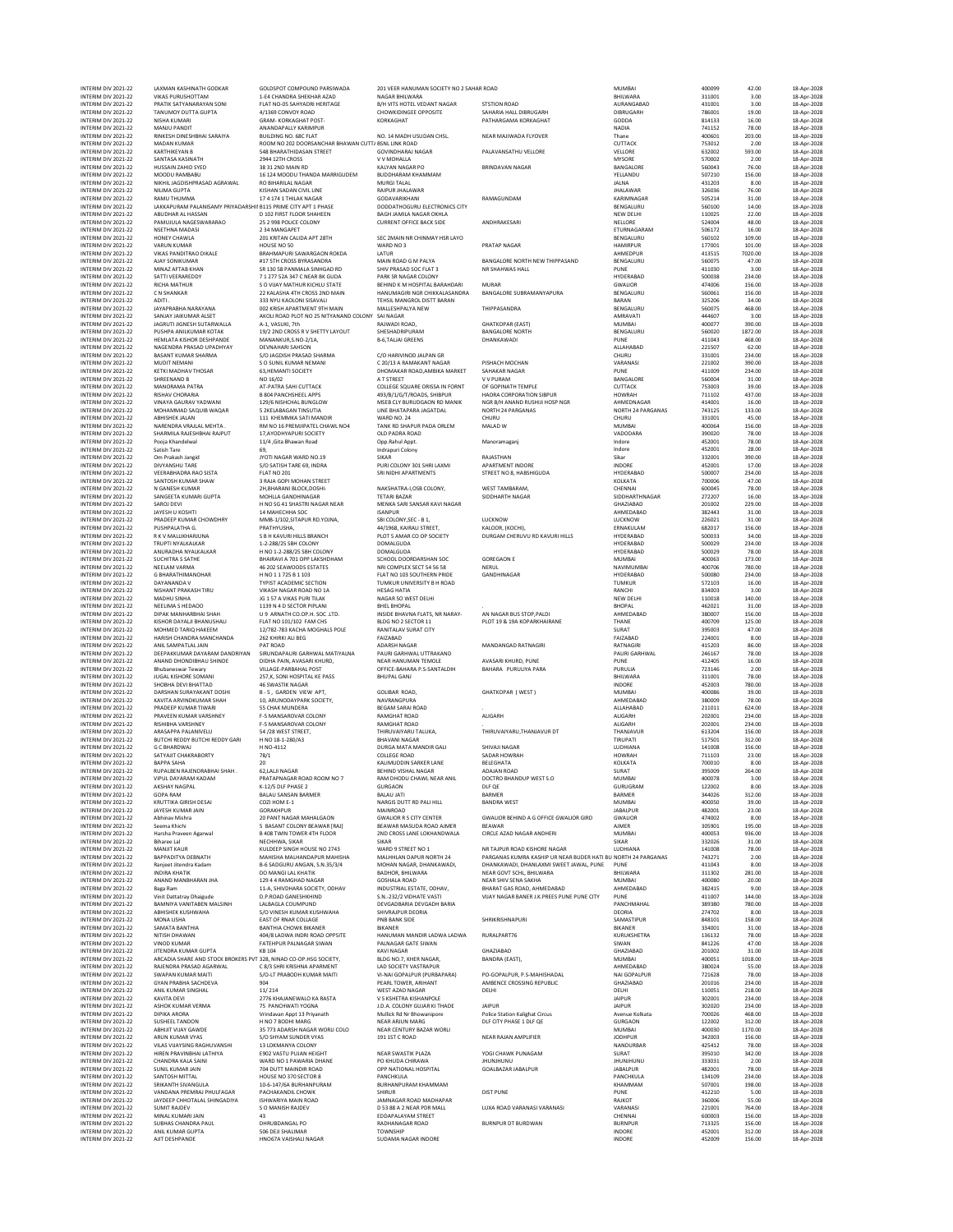| INTERIM DIV 2021-22<br>INTERIM DIV 2021-22                        | <b>LAXMAN KASHINATH GODKAR</b><br><b>VIKAS PURUSHOTTAM</b>                                   | GOLDSPOT COMPOUND PARSIWADA<br>1-E4 CHANDRA SHEKHAR AZAD                         | 201 VEER HANUMAN SOCIETY NO 2 SAHAR ROAD<br>NAGAR BHILWARA         |                                                                                                          | <b>MUMBAI</b><br>BHILWARA             | 400099<br>311001           | 42.00<br>3.00              | 18-Apr-2028<br>18-Apr-2028                |
|-------------------------------------------------------------------|----------------------------------------------------------------------------------------------|----------------------------------------------------------------------------------|--------------------------------------------------------------------|----------------------------------------------------------------------------------------------------------|---------------------------------------|----------------------------|----------------------------|-------------------------------------------|
| INTERIM DIV 2021-22                                               | PRATIK SATYANARAYAN SONI                                                                     | FLAT NO-05 SAHYADRI HERITAGE                                                     | B/H VITS HOTEL VEDANT NAGAR                                        | <b>STSTION ROAD</b>                                                                                      | AURANGABAD                            | 431001                     | 3.00                       | 18-Apr-2028                               |
| INTERIM DIV 2021-22<br>INTERIM DIV 2021-22                        | TANUMOY DUTTA GUPTA<br>NISHA KUMARI                                                          | 4/1369 CONVOY ROAD<br>GRAM- KORKAGHAT POST-                                      | CHOWKIDINGEE OPPOSITE<br>KORKAGHAT                                 | SAHARIA HALL DIBRUGARH<br>PATHARGAMA KORKAGHAT                                                           | DIBRUGARH<br>GODDA                    | 786001<br>814133           | 19.00<br>16.00             | 18-Apr-2028<br>18-Apr-2028                |
| INTERIM DIV 2021-22<br>INTERIM DIV 2021-22                        | MANJU PANDIT<br>RINKESH DINESHBHAI SARAIYA                                                   | ANANDAPALLY KARIMPUR<br>BUILDING NO. 68C FLAT                                    | NO. 14 MADH USUDAN CHSL                                            | NEAR MAJIWADA FLYOVER                                                                                    | <b>NADIA</b><br>Thane                 | 741152<br>400601           | 78.00<br>203.00            | 18-Apr-2028<br>18-Apr-2028                |
| INTERIM DIV 2021-22                                               | MADAN KUMAR                                                                                  | ROOM NO 202 DOORSANCHAR BHAWAN CUTT/ BSNL LINK ROAD                              |                                                                    |                                                                                                          | CUTTACK                               | 753012                     | 2.00                       | 18-Apr-2028                               |
| INTERIM DIV 2021-22<br>INTERIM DIV 2021-22                        | <b>KARTHIKEYAN B</b><br>SANTASA KASINATH                                                     | 548 BHARATHIDASAN STREET<br>2944 12TH CROSS                                      | <b>GOVINDHARAJ NAGAR</b><br>V V MOHALLA                            | PALAVANSATHU VELLORE                                                                                     | VELLORE<br><b>MYSORE</b>              | 632002<br>570002           | 593.00<br>2.00             | 18-Apr-2028<br>18-Apr-2028                |
| INTERIM DIV 2021-22<br>INTERIM DIV 2021-22                        | HUSSAIN ZAHID SYED<br>MOODU RAMBABU                                                          | 38 31 2ND MAIN RD<br>16 124 MOODU THANDA MARRIGUDEM                              | KALYAN NAGAR PO<br><b>BUDDHARAM KHAMMAM</b>                        | <b>BRINDAVAN NAGAR</b>                                                                                   | BANGALORE<br>YELLANDU                 | 560043<br>507210           | 76.00<br>156.00            | 18-Anr-2028<br>18-Apr-2028                |
| INTERIM DIV 2021-22                                               | NIKHIL JAGDISHPRASAD AGRAWAL                                                                 | RO BIHARILAL NAGAR                                                               | MURGI TALAL                                                        |                                                                                                          | JALNA                                 | 431203                     | 8.00                       | 18-Apr-2028                               |
| INTERIM DIV 2021-22<br>INTERIM DIV 2021-22                        | NILIMA GUPTA<br><b>RAMU THUMMA</b>                                                           | KISHAN SADAN CIVIL LINE<br>17 4 174 1 THILAK NAGAR                               | RAIPUR JHALAWAR<br>GODAVARIKHANI                                   | RAMAGUNDAM                                                                                               | <b>IHAI AWAR</b><br>KARIMNAGAR        | 326036<br>505214           | 76.00<br>31.00             | 18-Apr-2028<br>18-Apr-2028                |
| INTERIM DIV 2021-22<br>INTERIM DIV 2021-22                        | LAKKAPURAM PALANISAMY PRIYADARSHII B115 PRIME CITY APT 1 PHASE<br>ABUDHAR AL HASSAN          | D 102 FIRST FLOOR SHAHEEN                                                        | DODDATHOGURU ELECTRONICS CITY<br>BAGH JAMILA NAGAR OKHLA           |                                                                                                          | BENGALURU<br>NEW DELHI                | 560100<br>110025           | 14.00<br>22.00             | 18-Apr-2028<br>18-Apr-2028                |
| INTERIM DIV 2021-22                                               | PAMUJULA NAGESWARARAO                                                                        | 25 2 998 POLICE COLONY                                                           | <b>CURRENT OFFICE BACK SIDE</b>                                    | ANDHRAKESARI                                                                                             | NELLORE                               | 524004                     | 48.00                      | 18-Apr-2028                               |
| INTERIM DIV 2021-22<br>INTERIM DIV 2021-22                        | NSETHNA MADASI<br><b>HONEY CHAWLA</b>                                                        | 2 34 MANGAPET<br>201 KRITAN CALIDA APT 28TH                                      | SEC 2MAIN NR CHINMAY HSR LAYO                                      |                                                                                                          | ETURNAGARAM<br>BENGALURU              | 506172<br>560102           | 16.00<br>109.00            | 18-Apr-2028<br>18-Apr-2028                |
| INTERIM DIV 2021-22<br>INTERIM DIV 2021-22                        | <b>VARUN KUMAR</b><br>VIKAS PANDITRAO DIKALE                                                 | HOUSE NO 50<br>BRAHMAPURI SAWARGAON ROKDA                                        | WARD NO3<br>LATUR                                                  | PRATAP NAGAR                                                                                             | HAMIRPUR<br>AHMEDPUR                  | 177001<br>413515           | 101.00<br>7020.00          | 18-Apr-2028<br>18-Apr-2028                |
| INTERIM DIV 2021-22                                               | <b>AIAY SONIKUMAR</b>                                                                        | #17 STH CROSS BYRASANDRA                                                         | MAIN ROAD G M PALYA                                                | BANGALORE NORTH NEW THIPPASAND                                                                           | BENGALURU                             | 560075                     | 47.00                      | 18-Apr-2028                               |
| INTERIM DIV 2021-22<br>INTERIM DIV 2021-22                        | MINAZ AFTAB KHAN<br>SATTI VEERAREDDY                                                         | SR 130 58 PANMALA SINHGAD RD<br>71 277 52A 347 C NEAR RK GUDA                    | SHIV PRASAD SOC FLAT 3<br>PARK SR NAGAR COLONY                     | NR SHAHWAS HALL                                                                                          | PUNE<br><b>HYDERABAD</b>              | 411030<br>500038           | 3.00<br>234.00             | 18-Apr-2028<br>18-Apr-2028                |
| INTERIM DIV 2021-22<br>INTERIM DIV 2021-22                        | RICHA MATHUR<br>C N SHANKAR                                                                  | S O VIJAY MATHUR KICHLU STATE<br>22 KALASHA 4TH CROSS 2ND MAIN                   | BEHIND K M HOSPITAL BARAHDARI<br>HANUMAGIRI NGR CHIKKALASANDRA     | <b>MURAR</b><br>BANGALORE SUBRAMANYAPURA                                                                 | <b>GWALIOR</b><br>BENGALURU           | 474006<br>560061           | 156.00<br>156.00           | 18-Apr-2028<br>18-Apr-2028                |
| INTERIM DIV 2021-22                                               | ADITI.                                                                                       | 333 NYU KAOLONI SISAVALI                                                         | TEHSIL MANGROL DISTT RARAN                                         |                                                                                                          | BARAN                                 | 325206                     | 34.00                      | 18-Apr-2028                               |
| INTERIM DIV 2021-22<br>INTERIM DIV 2021-22                        | JAYAPRABHA NARAYANA<br>SANJAY JAIKUMAR ALSET                                                 | 002 KRISH APARTMENT 9TH MAIN<br>AKOLI ROAD PLOT NO 25 NITYANAND COLONY SAI NAGAR | MALLESHPALYA NEW                                                   | THIPPASANDRA                                                                                             | BENGALURU<br>AMRAVATI                 | 560075<br>444607           | 468.00<br>3.00             | 18-Apr-2028<br>18-Apr-2028                |
| INTERIM DIV 2021-22<br>INTERIM DIV 2021-22                        | JAGRUTI JIGNESH SUTARWALLA<br>PUSHPA ANILKUMAR KOTAK                                         | A-1. VASUKI, 7th<br>19/2 2ND CROSS R V SHETTY LAYOUT                             | RAJWADI ROAD.<br>SHESHADRIPURAM                                    | <b>GHATKOPAR (EAST)</b><br><b>BANGALORE NORTH</b>                                                        | <b>MUMBAI</b><br>BENGALURU            | 400077<br>560020           | 390.00<br>1872.00          | 18-Apr-2028<br>18-Apr-2028                |
| INTERIM DIV 2021-22                                               | HEMLATA KISHOR DESHPANDE                                                                     | MANANKUR, S.NO-2/1A,                                                             | <b>B-6,TALIAI GREENS</b>                                           | DHANKAWADI                                                                                               | PUNE                                  | 411043                     | 468.00                     | 18-Apr-2028                               |
| INTERIM DIV 2021-22<br>INTERIM DIV 2021-22                        | NAGENDRA PRASAD UPADHYAY<br>BASANT KUMAR SHARMA                                              | <b>DEVNAHARI SAHSON</b><br>S/O JAGDISH PRASAD SHARMA                             | C/O HARIVINOD JALPAN GR                                            |                                                                                                          | ALLAHABAD<br>CHURU                    | 221507<br>331001           | 62.00<br>234.00            | 18-Apr-2028<br>18-Apr-2028                |
| INTERIM DIV 2021-22<br>INTERIM DIV 2021-22                        | MUDIT NEMANI<br><b>KETKI MADHAV THOSAR</b>                                                   | S O SUNIL KUMAR NEMANI<br>63.HEMANTI SOCIETY                                     | C 20/13 A RAMAKANT NAGAR<br>DHOMAKAR ROAD, AMBIKA MARKET           | PISHACH MOCHAN<br>SAHAKAR NAGAR                                                                          | VARANASI<br>PUNE                      | 221002<br>411009           | 390.00<br>234.00           | 18-Apr-2028<br>18-Apr-2028                |
| INTERIM DIV 2021-22<br>INTERIM DIV 2021-22                        | SHREENAND B<br><b>MANORAMA PATRA</b>                                                         | NO 16/02<br>AT-PATRA SAHI CUTTACK                                                | A T STREET<br>COLLEGE SQUARE ORISSA IN FORNT                       | V V PURAM<br>OF GOPINATH TEMPLE                                                                          | BANGALORE<br>CUTTACK                  | 560004<br>753003           | 31.00<br>39.00             | 18-Apr-2028<br>18-Apr-2028                |
| INTERIM DIV 2021-22                                               | RISHAV CHORARIA                                                                              | <b>B 804 PANCHSHEEL APPS</b>                                                     | 493/B/1/G/T/ROADS, SHIBPUR                                         | HAORA CORPORATION SIBPUR                                                                                 | <b>HOWRAH</b>                         | 711102                     | 437.00                     | 18-Apr-2028                               |
| INTERIM DIV 2021-22<br>INTERIM DIV 2021-22                        | VINAYA GAURAV YADWANI<br>MOHAMMAD SAQUIB WAQAR                                               | 129/6 NISHCHAL BUNGLOW<br>5 2KELABAGAN TINSUTIA                                  | MSEB CLY BURUDGAON RD MANIK<br><b>IINE RHATAPARA IAGATDAL</b>      | NGR B/H ANAND RUSHIJI HOSP NGR<br><b>NORTH 24 PARGANAS</b>                                               | AHMEDNAGAR<br>NORTH 24 PARGANAS       | 414001<br>743125           | 16.00<br>133.00            | 18-Apr-2028<br>18-Apr-2028                |
| INTERIM DIV 2021-22<br>INTERIM DIV 2021-22                        | <b>ABHISHEK JALAN</b><br>NARENDRA VRAJLAL MEHTA.                                             | 111 KHEMMKA SATI MANDIR<br>RM NO 16 PREMJIPATEL CHAWL NO4                        | WARD NO. 24<br>TANK RD SHAPUR PADA ORLEM                           | CHURU<br>MALAD W                                                                                         | CHURU<br>MUMBAI                       | 331001<br>400064           | 45.00<br>156.00            | 18-Apr-2028<br>18-Apr-2028                |
| INTERIM DIV 2021-22                                               | SHARMILA RAJESHBHAI RAJPUT                                                                   | 17.AYODHYAPURI SOCIETY                                                           | OLD PADRA ROAD                                                     |                                                                                                          | VADODARA                              | 390020                     | 78.00                      | 18-Apr-2028                               |
| INTERIM DIV 2021-22<br>INTERIM DIV 2021-22                        | Pooia Khandelwal<br>Satish Tare                                                              | 11/4 .Gita Bhawan Road<br>69.                                                    | Opp.Rahul Appt.<br>Indrapuri Colony                                | Manoramaganj                                                                                             | Indore<br>Indore                      | 452001<br>452001           | 78.00<br>28.00             | 18-Apr-2028<br>18-Apr-2028                |
| INTERIM DIV 2021-22<br>INTERIM DIV 2021-22                        | Om Prakash Jangid<br>DIVYANSHU TARE                                                          | JYOTI NAGAR WARD NO.19<br>S/O SATISH TARE 69, INDRA                              | <b>SIKAR</b><br>PURI COLONY 301 SHRI LAXMI                         | RAJASTHAN<br>APARTMENT INDORE                                                                            | Sikar<br>INDORE                       | 332001<br>452001           | 390.00<br>17.00            | 18-Apr-2028<br>18-Apr-2028                |
| INTERIM DIV 2021-22                                               | <b>VEERABHADRA RAO SISTA</b>                                                                 | FLAT NO 201                                                                      | SRI NIDHI APARTMENTS                                               | STREET NO 8, HABSHIGUDA                                                                                  | <b>HYDERABAD</b>                      | 500007                     | 234.00                     | 18-Anr-2028                               |
| INTERIM DIV 2021-22<br>INTERIM DIV 2021-22                        | SANTOSH KUMAR SHAW<br>N GANESH KUMAR                                                         | 3 RAJA GOPI MOHAN STREET<br>2H, BHARANI BLOCK, DOSHI-                            | NAKSHATRA-I,OSB COLONY,                                            | WEST TAMBARAM.                                                                                           | KOLKATA<br>CHENNAI                    | 700006<br>600045           | 47.00<br>78.00             | 18-Apr-2028<br>18-Apr-2028                |
| INTERIM DIV 2021-22<br>INTERIM DIV 2021-22                        | SANGEETA KUMARI GUPTA<br>SAROJ DEVI                                                          | MOHLLA GANDHINAGAR<br>H NO SG 41 SHASTRI NAGAR NEAR                              | <b>TETARI BAZAR</b><br>MENKA SARI SANSAR KAVI NAGAR                | SIDDHARTH NAGAR                                                                                          | SIDDHARTHNAGAR<br>GHAZIABAD           | 272207<br>201002           | 16.00<br>229.00            | 18-Apr-2028<br>18-Apr-2028                |
| INTERIM DIV 2021-22                                               | JAYESH U KOSHTI<br>PRADEEP KUMAR CHOWDHRY                                                    | 14 MAHECHHA SOC                                                                  | <b>ISANPUR</b><br>SBLCOLONY SEC - B.1.                             |                                                                                                          | AHMEDABAD                             | 382443                     | 31.00                      | 18-Apr-2028                               |
| INTERIM DIV 2021-22<br>INTERIM DIV 2021-22                        | PUSHPALATHA G.                                                                               | MMB-1/102, SITAPUR RD.YOJNA,<br>PRATHYUSHA,                                      | 44/1968, KAIRALI STREET,                                           | LUCKNOW<br>KALOOR, (KOCHI),                                                                              | <b>ILICKNOW</b><br>ERNAKULAM          | 226021<br>682017           | 31.00<br>156.00            | 18-Apr-2028<br>18-Apr-2028                |
| INTERIM DIV 2021-22<br>INTERIM DIV 2021-22                        | R K V MALLIKHARJUNA<br>TRUPTI NYALKALKAR                                                     | S B H KAVURI HILLS BRANCH<br>1-2-288/25 SBH COLONY                               | PLOT 5 AMAR CO OP SOCIETY<br>DOMALGUDA                             | DURGAM CHERUVU RD KAVURI HILLS                                                                           | HYDERABAD<br>HYDERABAD                | 500033<br>500029           | 34.00<br>234.00            | 18-Apr-2028<br>18-Apr-2028                |
| INTERIM DIV 2021-22<br>INTERIM DIV 2021-22                        | ANURADHA NYALKALKAR                                                                          | H NO 1-2-288/25 SBH COLONY<br>BHAIRAVI A 701 OPP LAKSHDHAM                       | DOMALGUDA<br>SCHOOL DOORDARSHAN SOC                                | <b>GOREGAON E</b>                                                                                        | HYDERABAD                             | 500029<br>400063           | 78.00<br>173.00            | 18-Apr-2028<br>18-Apr-2028                |
| INTERIM DIV 2021-22                                               | <b>SUCHITRA S SATHE</b><br>NEELAM VARMA                                                      | 46 202 SEAWOODS ESTATES                                                          | NRI COMPLEX SECT 54 56 58                                          | NERUL                                                                                                    | <b>MUMBAI</b><br><b>NAVIMUMBA</b>     | 400706                     | 780.00                     | 18-Apr-2028                               |
| INTERIM DIV 2021-22<br>INTERIM DIV 2021-22                        | G BHARATHIMANOHAR<br>DAYANANDA V                                                             | H NO 11725 B 1103<br><b>TYPIST ACADEMIC SECTION</b>                              | FLAT NO 103 SOUTHERN PRIDE<br>TUMKUR UNIVERSITY B H ROAD           | GANDHINAGAR                                                                                              | HYDERABAD<br><b>TUMKUR</b>            | 500080<br>572103           | 234.00<br>16.00            | 18-Apr-2028<br>18-Apr-2028                |
| INTERIM DIV 2021-22<br>INTERIM DIV 2021-22                        | NISHANT PRAKASH TIRU<br>MADHU SINHA                                                          | VIKASH NAGAR ROAD NO 1A<br>JG 1 57 A VIKAS PURI TILAK                            | <b>HESAG HATIA</b><br>NAGAR SO WEST DELHI                          |                                                                                                          | RANCHI<br>NEW DELHI                   | 834003<br>110018           | 3.00<br>140.00             | 18-Apr-2028<br>18-Apr-2028                |
| INTERIM DIV 2021-22                                               | NEELIMA S HEDAOO                                                                             | 1139 N 4 D SECTOR PIPLANI                                                        | <b>BHEL BHOPAL</b>                                                 |                                                                                                          | <b>BHOPAL</b>                         | 462021                     | 31.00                      | 18-Apr-2028                               |
| INTERIM DIV 2021-22<br>INTERIM DIV 2021-22                        | DIPAK MANHARBHAI SHAH<br>KISHOR DAYALJI BHANUSHALI                                           | U 9 ARNATH CO.OP.H. SOC.LTD.<br>FLAT NO 101/102 FAM CHS                          | INSIDE BHAVNA FLATS, NR NARAY-<br>BLDG NO 2 SECTOR 11              | AN NAGAR BUS STOP, PALDI<br>PLOT 19 & 19A KOPARKHAIRANE                                                  | AHMEDABAD<br>THANE                    | 380007<br>400709           | 156.00<br>125.00           | 18-Apr-2028<br>18-Apr-2028                |
| INTERIM DIV 2021-22<br>INTERIM DIV 2021-22                        | MOHMED TARIO HAKEEM<br>HARISH CHANDRA MANCHANDA                                              | 12/782-783 KACHA MOGHALS POLE<br>262 KHIRKI ALI BEG                              | RANITALAV SURAT CITY<br>FAIZABAD                                   |                                                                                                          | SURAT<br>FAIZABAD                     | 395003<br>224001           | 47.00<br>8.00              | 18-Apr-2028<br>18-Apr-2028                |
| INTERIM DIV 2021-22<br>INTERIM DIV 2021-22                        | ANIL SAMPATLAL JAIN                                                                          | PAT ROAD                                                                         | ADARSH NAGAR                                                       | MANDANGAD RATNAGIRI                                                                                      | RATNAGIRI                             | 415203<br>246167           | 86.00<br>78.00             | 18-Apr-2028                               |
| INTERIM DIV 2021-22                                               | DEEPAKKUMAR DAYARAM DANDRIYAN<br>ANAND DHONDIBHAU SHINDE                                     | SIRUNDAPAURI GARHWAL MATIYALNA<br>DIDHA PAIN, AVASARI KHURD,                     | PAURI GARHWAL UTTRAKAND<br>NEAR HANUMAN TEMOLE                     | AVASARI KHURD, PUNE                                                                                      | PAURI GARHWAL<br>PUNE                 | 412405                     | 16.00                      | 18-Apr-2028<br>18-Apr-2028                |
| INTERIM DIV 2021-22<br>INTERIM DIV 2021-22                        | <b>Bhubaneswar Tewary</b><br>JUGAL KISHORE SOMANI                                            | VILLAGE-PARBAHAL POST<br>257,K, SONI HOSPITAL KE PASS                            | OFFICE-BAHARA P.S-SANTALDIH<br><b>BHUPAL GANJ</b>                  | BAHARA PURULIYA PARA                                                                                     | PURULIA<br>BHILWARA                   | 723146<br>311001           | 2.00<br>78.00              | 18-Apr-2028<br>18-Apr-2028                |
| INTERIM DIV 2021-22<br>INTERIM DIV 2021-22                        | SHOBHA DEVI BHATTAD<br>DARSHAN SURAYAKANT DOSHI                                              | <b>46 SWASTIK NAGAR</b><br>B-5, GARDEN VIEW APT.                                 | <b>GOLIBAR ROAD.</b>                                               | <b>GHATKOPAR (WEST)</b>                                                                                  | INDORE<br><b>MUMBAI</b>               | 452003<br>400086           | 780.00<br>39.00            | 18-Apr-2028<br>18-Apr-2028                |
| INTERIM DIV 2021-22                                               | KAVITA ARVINDKUMAR SHAH                                                                      | 10, ARUNODAYPARK SOCIETY,                                                        | NAVRANGPURA                                                        |                                                                                                          | AHMEDABAD                             | 380009                     | 78.00                      | 18-Apr-2028                               |
| INTERIM DIV 2021-22<br>INTERIM DIV 2021-22                        | PRADEEP KUMAR TIWARI<br>PRAVEEN KUMAR VARSHNEY                                               | 55 CHAK MUNDERA<br><b>F-5 MANSAROVAR COLONY</b>                                  | BEGAM SARAI ROAD<br><b>RAMGHAT ROAD</b>                            | <b>ALIGARH</b>                                                                                           | ALLAHABAD<br><b>ALIGARH</b>           | 211011<br>202001           | 624.00<br>234.00           | 18-Apr-2028<br>18-Apr-2028                |
| INTERIM DIV 2021-22<br>INTERIM DIV 2021-22                        | RISHIBHA VARSHNEY<br>ARASAPPA PALANIVELU                                                     | F-5 MANSAROVAR COLONY<br>54 / 28 WEST STREET,                                    | RAMGHAT ROAD<br>THIRUVAIYARU TALUKA,                               | THIRUVAIYARU, THANJAVUR DT                                                                               | ALIGARH<br>THANJAVUR                  | 202001<br>613204           | 234.00<br>156.00           | 18-Apr-2028<br>18-Apr-2028                |
| INTERIM DIV 2021-22                                               | BUTCHI REDDY BUTCHI REDDY GARI                                                               | H NO 18-1-280/A3                                                                 | <b>BHAVANI NAGAR</b>                                               |                                                                                                          | <b>TIRUPATI</b>                       | 517501                     | 312.00                     | 18-Apr-2028                               |
| INTERIM DIV 2021-22<br>INTERIM DIV 2021-22                        | <b>G C BHARDWAJ</b><br>SATYAJIT CHAKRABORTY                                                  | H NO-4112<br>78/1                                                                | DURGA MATA MANDIR GALI<br><b>COLLEGE ROAD</b>                      | SHIVAJI NAGAR<br>SADAR HOWRAH                                                                            | LUDHIANA<br><b>HOWRAH</b>             | 141008<br>711103           | 156.00<br>23.00            | 18-Apr-2028<br>18-Apr-2028                |
| INTERIM DIV 2021-22<br>INTERIM DIV 2021-22                        | <b>BAPPA SAHA</b><br>RUPALBEN RAJENDRABHAI SHAH.                                             | 20<br>62, LALII NAGAR                                                            | KALIMUDDIN SARKER LANE<br>BEHIND VISHAL NAGAR                      | BELEGHATA<br>ADAJAN ROAD                                                                                 | KOLKATA<br>SURAT                      | 700010<br>395009           | 8.00<br>264.00             | 18-Apr-2028<br>18-Apr-2028                |
| INTERIM DIV 2021-22                                               | VIPUL DAYARAM KADAM                                                                          | PRATAPNAGAR ROAD ROOM NO 7                                                       | RAM DHODU CHAWL NEAR ANIL                                          | DOCTRO BHANDUP WEST S.O.                                                                                 | <b>MUMBAI</b>                         | 400078                     | 3.00                       | 18-Apr-2028                               |
| INTERIM DIV 2021-22<br>INTERIM DIV 2021-22                        | AKSHAY NAGPAL<br><b>GOPA RAM</b>                                                             | K-12/5 DLF PHASE 2<br>BALAU SANSAN BARMER                                        | <b>GURGAON</b><br><b>BALAU JATI</b>                                | DLF QE<br>BARMER                                                                                         | GURUGRAM<br>BARMER                    | 122002<br>344026           | 8.00<br>312.00             | 18-Apr-2028<br>18-Apr-2028                |
| INTERIM DIV 2021-22<br>INTERIM DIV 2021-22                        | <b>KRUTTIKA GIRISH DESAI</b><br>JAYESH KUMAR JAIN                                            | COZI HOM E-1<br>GORAKHPUR                                                        | NARGIS DUTT RD PALI HILL<br>MAINROAD                               | <b>BANDRA WEST</b>                                                                                       | <b>MUMBAI</b><br><b>JABALPUR</b>      | 400050<br>482001           | 39.00<br>23.00             | 18-Apr-2028<br>18-Apr-2028                |
| INTERIM DIV 2021-22<br>INTERIM DIV 2021-22                        | Abhinav Mishra<br>Seema Khichi                                                               | 20 PANT NAGAR MAHALGAON<br>5 BASANT COLONY BEAWAR [RAJ]                          | <b>GWALIOR R S CITY CENTER</b><br>BEAWAR MASUDA ROAD AIMER         | GWALIOR BEHIND A G OFFICE GWALIOR GIRD<br><b>BEAWAR</b>                                                  | GWALIOR<br><b>AJMER</b>               | 474002<br>305901           | 8.00<br>195.00             | 18-Apr-2028<br>18-Apr-2028                |
| INTERIM DIV 2021-22                                               | Harsha Praveen Agarwal                                                                       | <b>B 408 TWIN TOWER 4TH FLOOR</b>                                                | 2ND CROSS LANE LOKHANDWALA                                         | CIRCLE AZAD NAGAR ANDHERI                                                                                | MUMBAI                                | 400053                     | 936.00                     | 18-Apr-2028                               |
| INTERIM DIV 2021-22<br>INTERIM DIV 2021-22                        | <b>Biharee Lal</b><br><b>MANJIT KAUR</b>                                                     | NECHHWA, SIKAR<br>KULDEEP SINGH HOUSE NO 2743                                    | <b>SIKAR</b><br>WARD 9 STREET NO 1                                 | NR TAIPUR ROAD KISHORE NAGAR                                                                             | SIKAR<br>LUDHIANA                     | 332026<br>141008           | 31.00<br>78.00             | 18-Apr-2028<br>18-Apr-2028                |
| INTERIM DIV 2021-22<br>INTERIM DIV 2021-22                        | BAPPADITYA DEBNATH<br>Ranieet Jitendra Kadam                                                 | MAHISHA MALHANDAPUR MAHISHA<br>B-6 SADGURU ANGAN, S.N.35/3/4                     | MALHHLAN DAPUR NORTH 24<br>MOHAN NAGAR DHANKAWADI.                 | PARGANAS KUMRA KASHIP UR NEAR BUDER HATI BU NORTH 24 PARGANAS<br>DHANKAWADI. DHANLAXMI SWEET JAWAL. PUNE | PUNE                                  | 743271<br>411043           | 2.00<br>8.00               | 18-Apr-2028<br>18-Apr-2028                |
| INTERIM DIV 2021-22                                               | <b>INDIRA KHATIK</b>                                                                         | DO MANGI LAL KHATIK                                                              | BADHOR, BHILWARA                                                   | NEAR GOVT SCHL, BHILWARA                                                                                 | BHILWARA                              | 311302                     | 281.00                     | 18-Apr-2028                               |
| INTERIM DIV 2021-22<br>INTERIM DIV 2021-22                        | ANAND MANBHARAN JHA<br>Baga Ram                                                              | 129 4 4 RAMGHAD NAGAR<br>11-A. SHIVDHARA SOCIETY, ODHAV                          | <b>GOSHALA ROAD</b><br>INDUSTRIAL ESTATE, ODHAV.                   | NEAR SHIV SENA SAKHA<br><b>BHARAT GAS ROAD, AHMEDARAD</b>                                                | <b>MUMBAI</b><br>AHMEDABAD            | 400080<br>382415           | 20.00<br>9.00              | 18-Apr-2028<br>18-Apr-2028                |
| INTERIM DIV 2021-22<br>INTERIM DIV 2021-22                        | Vinit Dattatray Dhaigude<br>BAMNIYA VANITABEN MALSINH                                        | <b>D.P.ROAD GANESHKHIND</b><br>LALBAGLA COUMPUND                                 | S.N.-232/2 VIDHATE VASTI<br>DEVGADBARIA DEVGADH BARIA              | VIJAY NAGAR BANER J.K.PREES PUNE PUNE CITY                                                               | PUNE<br>PANCHMAHAL                    | 411007<br>389380           | 144.00<br>780.00           | 18-Apr-2028<br>18-Apr-2028                |
| INTERIM DIV 2021-22                                               | ARHISHEK KUSHWAHA                                                                            | S/O VINESH KUMAR KUSHWAHA                                                        | SHIVRAJPUR DEORIA                                                  |                                                                                                          | <b>DEORIA</b>                         | 274702                     | 8.00                       | 18-Apr-2028                               |
| INTERIM DIV 2021-22<br>INTERIM DIV 2021-22                        | MONA LISHA<br>SAMATA BANTHIA                                                                 | <b>EAST OF RNAR COLLAGE</b><br><b>BANTHIA CHOWK BIKANER</b>                      | PNB BANK SIDE<br><b>BIKANER</b>                                    | SHRIKRISHNAPURI                                                                                          | SAMASTIPUR<br>BIKANER                 | 848101<br>334001           | 158.00<br>31.00            | 18-Apr-2028<br>18-Apr-2028                |
| INTERIM DIV 2021-22<br>INTERIM DIV 2021-22                        | NITISH DHAWAN<br><b>VINOD KUMAR</b>                                                          | 404/8 LADWA INDRI ROAD OPPSITE<br><b>FATEHPUR PALNAGAR SIWAN</b>                 | HANUMAN MANDIR LADWA LADWA<br>PALNAGAR GATE SIWAN                  | RURALPART76                                                                                              | KURUKSHETRA<br>SIWAN                  | 136132<br>841226           | 78.00<br>47.00             | 18-Apr-2028<br>18-Apr-2028                |
| INTERIM DIV 2021-22                                               | JITENDRA KUMAR GUPTA                                                                         | KB 104                                                                           | <b>KAVI NAGAR</b>                                                  | GHAZIABAD                                                                                                | GHAZIABAD                             | 201002                     | 31.00                      | 18-Apr-2028                               |
| INTERIM DIV 2021-22<br>INTERIM DIV 2021-22                        | ARCADIA SHARE AND STOCK BROKERS PVT 328, NINAD CO-OP.HSG SOCIETY,<br>RAJENDRA PRASAD AGARWAL | C 8/3 SHRI KRISHNA APARMENT                                                      | BLDG NO.7, KHER NAGAR,<br><b>LAD SOCIETY VASTRAPUR</b>             | BANDRA (EAST),                                                                                           | MUMBAI<br>AHMEDABAD                   | 400051<br>380024           | 1018.00<br>55.00           | 18-Apr-2028<br>18-Apr-2028                |
| INTERIM DIV 2021-22<br>INTERIM DIV 2021-22                        | <b>SWAPAN KUMAR MAITI</b><br><b>GYAN PRABHA SACHDEVA</b>                                     | S/O-IT PRARODH KUMAR MAITI<br>904                                                | VI-NAI GOPALPUR (PURBAPARA)<br>PEARL TOWER, ARIHANT                | PO-GOPALPUR, P.S-MAHISHADAL<br>AMBENCE CROSSING REPUBLIC                                                 | NAI GOPALPUR<br>GHAZIABAD             | 721628<br>201016           | 78.00<br>234.00            | 18-Apr-2028<br>18-Apr-2028                |
| INTERIM DIV 2021-22<br>INTERIM DIV 2021-22                        | ANIL KUMAR SINGHAL                                                                           | 11/214                                                                           | WEST AZAD NAGAR<br>V S KSHETRA KISHANPOLE                          | DELHI                                                                                                    | DELHI<br><b>JAIPUR</b>                | 110051<br>302001           | 218.00<br>234.00           | 18-Apr-2028                               |
| INTERIM DIV 2021-22                                               |                                                                                              |                                                                                  |                                                                    |                                                                                                          |                                       |                            |                            | 18-Apr-2028                               |
| INTERIM DIV 2021-22                                               | KAVITA DEVI<br>ASHOK KUMAR VERMA                                                             | 2776 KHAJANEWALO KA RASTA<br>75 PANCHWATI YOGNA                                  | J.D.A. COLONY GUJAR KI THADE                                       | <b>JAIPUR</b>                                                                                            | <b>JAIPUR</b>                         | 302020                     | 234.00                     | 18-Apr-2028                               |
| INTERIM DIV 2021-22                                               | DIPIKA ARORA<br>SUSHEEL TANDON                                                               | Vrindavan Appt 13 Priyanath<br>H NO 7 BODHI MARG                                 | Mullick Rd Nr Bhowanipore<br><b>NEAR ARJUN MARG</b>                | <b>Police Station Kalighat Circus</b><br>DLF CITY PHASE 1 DLF QE                                         | Avenue Kolkata<br><b>GURGAON</b>      | 700026<br>122002           | 468.00<br>312.00           | 18-Apr-2028<br>18-Apr-2028                |
| INTERIM DIV 2021-22                                               | <b>ABHIJIT VIJAY GAWDE</b>                                                                   | 35 773 ADARSH NAGAR WORLI COLO                                                   | NEAR CENTURY BAZAR WORLI                                           |                                                                                                          | MUMBAI                                | 400030                     | 1170.00                    | 18-Apr-2028                               |
| INTERIM DIV 2021-22<br>INTERIM DIV 2021-22                        | ARUN KUMAR VYAS<br>VILAS VIJAYSING RAGHUVANSHI                                               | S/O SHYAM SUNDER VYAS<br>13 LOKMANYA COLONY                                      | 191 1ST C ROAD                                                     | NEAR RAJAN AMPLIFIER                                                                                     | <b>JODHPUR</b><br>NANDURBAR           | 342003<br>425412           | 156.00<br>78.00            | 18-Apr-2028<br>18-Apr-2028                |
| INTERIM DIV 2021-22<br>INTERIM DIV 2021-22                        | HIREN PRAVINBHAI LATHIYA<br>CHANDRA KALA SAINI                                               | E902 VASTU PUJAN HEIGHT<br>WARD NO 1 PAWARIA DHANE                               | NEAR SWASTIK PLAZA<br>PO KHUDA CHIRAWA                             | YOGI CHAWK PUNAGAM<br><b>JHUNJHUNU</b>                                                                   | SURAT<br><b>JHUNJHUNU</b>             | 395010<br>333031           | 342.00<br>2.00             | 18-Apr-2028<br>18-Apr-2028                |
| INTERIM DIV 2021-22<br>INTERIM DIV 2021-22                        | SUNIL KUMAR JAIN<br>SANTOSH MITTAL                                                           | 704 DUTT MAINDIR ROAD                                                            | OPP NATIONAL HOSPITAL<br>PANCHKULA                                 | GOALBAZAR JABALPUR                                                                                       | <b>JABALPUR</b>                       | 482001<br>134109           | 78.00                      | 18-Apr-2028                               |
| INTERIM DIV 2021-22                                               | SRIKANTH SIVANGULA                                                                           | HOUSE NO 370 SECTOR 8<br>10-6-147/6A BURHANPURAM                                 | BURHANPURAM KHAMMAM                                                |                                                                                                          | PANCHKULA<br>KHAMMAM                  | 507001                     | 234.00<br>198.00           | 18-Apr-2028<br>18-Apr-2028                |
| INTERIM DIV 2021-22<br>INTERIM DIV 2021-22                        | VANDANA PREMRAJ PHULFAGAR<br>JAYDEEP CHHOTALAL SHINGADIYA                                    | PACHAKANDIL CHOWK<br>ISHWARIYA MAIN ROAD                                         | SHIRUR<br>JAMNAGAR ROAD MADHAPAR                                   | <b>DIST PUNE</b>                                                                                         | PUNE<br>RAJKOT                        | 412210<br>360006           | 5.00<br>55.00              | 18-Apr-2028<br>18-Apr-2028                |
| INTERIM DIV 2021-22<br>INTERIM DIV 2021-22<br>INTERIM DIV 2021-22 | <b>SUMIT RAJDEV</b><br>MINAL KUMARI JAIN<br>SUBHAS CHANDRA PAUL                              | S O MANISH RAJDEV<br>43<br>DHRUBDANGAL PO                                        | D 53 88 A 2 NEAR PDR MALL<br>EDDAPALAYAM STREET<br>RADHANAGAR ROAD | LUXA ROAD VARANASI VARANASI<br><b>BURNPUR DT BURDWAN</b>                                                 | VARANASI<br>CHENNAI<br><b>BURNPUR</b> | 221001<br>600003<br>713325 | 764.00<br>156.00<br>156.00 | 18-Apr-2028<br>18-Apr-2028<br>18-Apr-2028 |

|                                            | 2.0                                                                                                              |
|--------------------------------------------|------------------------------------------------------------------------------------------------------------------|
| $\overline{1}$                             | 3.0<br>3.0                                                                                                       |
| $\overline{1}$                             |                                                                                                                  |
|                                            | $\begin{array}{r} 19.0 \\ 16.0 \\ 78.0 \\ 203.0 \\ 2.0 \end{array}$                                              |
|                                            |                                                                                                                  |
|                                            |                                                                                                                  |
| $\overline{1}$                             |                                                                                                                  |
| Ĺ<br>$\overline{2}$                        |                                                                                                                  |
| $\overline{2}$                             | 593.0                                                                                                            |
|                                            |                                                                                                                  |
| 10                                         |                                                                                                                  |
| ì3                                         |                                                                                                                  |
|                                            |                                                                                                                  |
|                                            |                                                                                                                  |
|                                            |                                                                                                                  |
|                                            |                                                                                                                  |
|                                            |                                                                                                                  |
|                                            |                                                                                                                  |
| $^{12}$                                    |                                                                                                                  |
| $\overline{1}$                             |                                                                                                                  |
| 15                                         |                                                                                                                  |
|                                            |                                                                                                                  |
| 30                                         |                                                                                                                  |
| 38                                         |                                                                                                                  |
| 36                                         |                                                                                                                  |
| $\frac{1}{2}$                              |                                                                                                                  |
| 36                                         |                                                                                                                  |
| 75                                         |                                                                                                                  |
| $\overline{a}$                             |                                                                                                                  |
|                                            |                                                                                                                  |
| 20                                         | ı                                                                                                                |
|                                            |                                                                                                                  |
| 37                                         |                                                                                                                  |
| $\overline{1}$                             |                                                                                                                  |
| $^{12}$                                    |                                                                                                                  |
| 39                                         |                                                                                                                  |
| )4                                         |                                                                                                                  |
| $\overline{2}$                             |                                                                                                                  |
|                                            |                                                                                                                  |
| $\overline{1}$                             |                                                                                                                  |
| $\overline{1}$                             |                                                                                                                  |
| 4                                          |                                                                                                                  |
| 20                                         |                                                                                                                  |
| $\overline{1}$                             |                                                                                                                  |
| $\overline{1}$                             |                                                                                                                  |
|                                            | 78.0 28.0 390.0 17.0 234.0 47.0 234.0 47.0 234.0 47.0 234.0 78.0 234.0 78.0 234.0 78.0 0 234.0 78.0 0 234.0 16.0 |
| $\frac{1}{1}$                              |                                                                                                                  |
| 37                                         |                                                                                                                  |
| 36                                         |                                                                                                                  |
| 15                                         |                                                                                                                  |
| 37                                         |                                                                                                                  |
| $^{12}$                                    |                                                                                                                  |
|                                            |                                                                                                                  |
|                                            |                                                                                                                  |
| i                                          |                                                                                                                  |
|                                            |                                                                                                                  |
| 29                                         |                                                                                                                  |
| 29                                         |                                                                                                                  |
| 36                                         |                                                                                                                  |
| 30                                         |                                                                                                                  |
| )3                                         |                                                                                                                  |
| 3                                          | 3.0                                                                                                              |
| 18                                         |                                                                                                                  |
| 21                                         |                                                                                                                  |
|                                            |                                                                                                                  |
| )9                                         |                                                                                                                  |
| )<br>33<br>37                              |                                                                                                                  |
|                                            |                                                                                                                  |
| 3                                          | a., 40.0<br>40.0<br>31.0<br>56.0<br>25.0<br>47.0<br>86.0<br>78.0<br>16.0<br>2.0                                  |
| 57                                         |                                                                                                                  |
| )5                                         |                                                                                                                  |
| 16                                         | 2.0<br>78.0<br>780.0<br>39.0                                                                                     |
| $\overline{1}$<br>)3                       |                                                                                                                  |
| 36                                         |                                                                                                                  |
| $^{9}$                                     |                                                                                                                  |
| 11                                         |                                                                                                                  |
| $\overline{1}$                             | 78.0<br>78.0<br>624.0<br>234.0<br>234.0<br>156.0<br>156.0<br>23.0                                                |
| $\overline{1}$                             |                                                                                                                  |
|                                            |                                                                                                                  |
| $\overline{1}$                             |                                                                                                                  |
| Co                                         |                                                                                                                  |
|                                            |                                                                                                                  |
| 10                                         | $8.0$<br>$264.0$<br>$3.0$                                                                                        |
| )9<br>78                                   |                                                                                                                  |
|                                            |                                                                                                                  |
| J                                          | 8.0                                                                                                              |
| 26<br>50                                   | $0.4$<br>39.0<br>23.0<br>31                                                                                      |
| $\overline{1}$                             |                                                                                                                  |
| $\overline{2}$                             | 8.0                                                                                                              |
| $\overline{1}$                             |                                                                                                                  |
| $\frac{1}{2}$                              | $\frac{0.0}{195.0}$<br>936.0                                                                                     |
| 26                                         | 31.0                                                                                                             |
| 38                                         |                                                                                                                  |
| 71                                         | $78.0$<br>2.0                                                                                                    |
| 13                                         | 8.0                                                                                                              |
| $\overline{2}$                             | 281.0                                                                                                            |
| 30                                         | 20.0                                                                                                             |
| 15                                         | $rac{6.6}{9.0}$                                                                                                  |
| 37                                         |                                                                                                                  |
| 30                                         | 144.0<br>780.0<br>8.0<br>158.0<br>158.0                                                                          |
| $\overline{2}$                             |                                                                                                                  |
| )1<br>)1                                   |                                                                                                                  |
|                                            |                                                                                                                  |
| 32<br>26                                   |                                                                                                                  |
| $\overline{2}$                             | 78.0<br>78.0<br>47.0<br>31.0                                                                                     |
| 51                                         |                                                                                                                  |
| 24                                         | 1018.0<br>55.0                                                                                                   |
| 28                                         | 78.0                                                                                                             |
| 16                                         | 234.0                                                                                                            |
| 51                                         | 234.0<br>234.0<br>234.0<br>468.0                                                                                 |
| $\overline{1}$                             |                                                                                                                  |
| 20                                         |                                                                                                                  |
| 26                                         |                                                                                                                  |
| $\overline{2}$                             | 312.0<br>312.0<br>170.0<br>156.0                                                                                 |
| 30                                         | i                                                                                                                |
| $^{3}$                                     |                                                                                                                  |
| 12                                         |                                                                                                                  |
| 10                                         |                                                                                                                  |
|                                            |                                                                                                                  |
|                                            | $78.0$ $342.0$ $2.0$                                                                                             |
|                                            | 78.0                                                                                                             |
|                                            |                                                                                                                  |
|                                            | 234.0<br>198.0                                                                                                   |
|                                            |                                                                                                                  |
|                                            |                                                                                                                  |
| 31<br>$^{1}$<br>)9<br>)1<br>10<br>)6<br>)1 | $50.0$<br>5.0<br>55.0<br>764.0<br>7                                                                              |
| )3<br>25                                   | , -<br>156.0<br>156.0                                                                                            |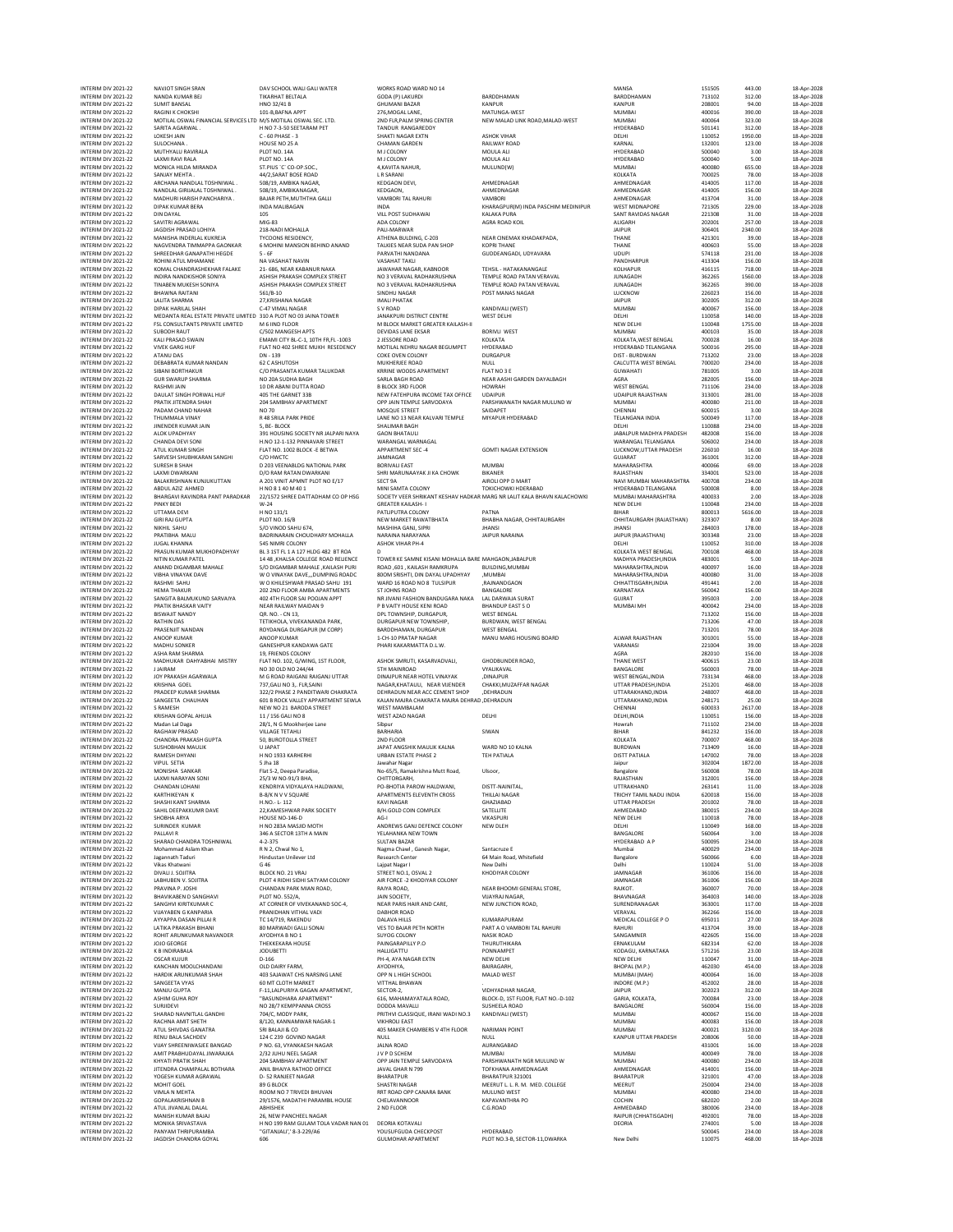INTERIM DIV 2021-22 NAVJOT SINGH SRAN DAV SCHOOL WALI GALI WATER WORKS ROAD WARD NO 14 MANSA 151505 443.00 18-Apr-2028 INTERIM DIV 2021-22 NANDA KUMAR BEJ TIKARHAT BELTALA GODA (P) LAKURDI BARDDHAMAN BARDDHAMAN 713102 312.00 18-Apr-2028 INTERIM DIV 2021-22 SUMIT BANSAL HNO 32/41 B GHUMANI BAZAR KANPUR KANPUR 208001 94.00 18-Apr-2028 INTERIM DIV 2021-22 RAGINI K CHOKSHI 101-B,BAFNA APPT 276,MOGAL LANE, MATUNGA-WEST MUMBAI 400016 390.00 18-Apr-2028 INTERIM DIV 2021-22 MOTILAL OSWAL FINANCIAL SERVICES LTD M/S MOTILAL OSWAL SEC. LTD. 2ND FLR,PALM SPRING CENTER NEW MALAD LINK ROAD,MALAD-WEST MUMBAI 400064 323.00 18-Apr-2028 MTERM ON 2021-22 SONTA AGANVAL. HNO 7-5-SSEETARM PET TANDUR ANAGREDY ASHOK VIHAR HOLD HYDERABAD 50.114 11.0052<br>INTERM ON 2021-22 SUIDCHANA . HOUSE NO 25 GENERE -1 CHAMAN GARDEN RANGAREDY ASHOK HARA HOLD . HARA-2021 . HOLD<br> INTERIM DIV 2021-22 SANJAY MEHTA . 44/2,SARAT BOSE ROAD L R SARANI KOLKATA 700025 78.00 18-Apr-2028 INTERIM DIV 2021-22 ARCHANA NANDLAL TOSHNIWAL 4Q/ZANAT BOSE RIOD LE ARCHANA KEDGAON DEVI, AHMEDNAGAR AND MONDE<br>INTERIM DIV 2021-22 ARCHANA NANDLAL TOSHNIWAL 508/19, AMBIKA NAGAR, KEDGAON MAGMURINAGAR, KEDGAON AHMEDNAGAR AH INTERIM DIV2021-22 NANDIALGIRIJALALTOSHNIWAL. SOB/19.AMBIKANAGAR, KEDGAON, KEDGAON, AHMEDNAGAR AHMEDNAGAR AHMEDNAGAR 414005 156.00 18-Apr-2022<br>NTERIM DIV2021-22 MADHURIHARIYA BAJARPETIAMUTHAGALI VAMBORITALRAHURI VAMBORI AH INTERNATON DIN DATA MESSIMPRODUNA NOMING HAND MANU MENARA PURANG MANARA SA PARA PARA PARA 2013 - 18-AP-2023<br>INTERNATOR 2021-22 SAVITRI AGRAMAL MIG-83 MAGES PALEMANING PALEMANING AGRA AGRA MONDERNATOR AUGARH AUGARH 2020<br>INT INTERIM DIV.2021-22 JAQIDISH RAGADAL MIS-1331 - ANG-2021 - ANG PARVATHI ANG PARTHI ANG PARTHI ANG PARTHI ANG P<br>INTERIM DIV.2021-22 MANISHA INDEPLAL INCREAS TESIDENCY, ANG PARTHI ANG PARTHI ANG PARTHI NANDANA GUDDEANGADA,<br>I INTERIM DIV 2021-22 ROHINI ATUL MHAMANE NA VASAHAT NAVIN VASAHAT TAKLI PANDHARPUR 413304 156.00 18-Apr-2028 INTERM DIV.2021-22 KOMALCHANDASHEKHARFALAKE 21-686, NEAHA AWAHAR ANGARANGARKARANGANGANGAKANGALAKANGALAKANGALAK<br>INTERMON-2021-22 INDIRANANDKISHOR-SONIYA ASHISH-PRAKASH-COMPLEX TREET NO SVERAVALRADHAKANISHINA TEMPLE.ROAD PAT INTERIM DIV TRANSIN DIVISIH DIVISIH DIVISIH PRAKASH COMPLEX STREET NO SUBANAL PEMBEN TEMPLE RADHAKRUSHNA TEMPLE<br>INTERIM DIVISIZIZIZ BHAWNA RAITANI ISA-2028 SELJB-10 VERAVAL SINDHU NAGAR POST MANAS NAGAR POST MANAS NAGAR DI INTERIM DIV 2021-22 BAINWARAITAN SGLO-2021-22 BAING SGLO-2021<br>INTERIM DIV 2021-22 BAING ARAITANI SCHONG C-47 UNAGRA SUNDHU NAGAR SANDALI PATAMONI POST MANAS NAGRI SANDA DI<br>INTERIM DIV 2021-22 DIE BAING REARITARI SANDA DIS MTERIM DIVITAL MARKSHANN NAGAR MARKSHANN MARKSHANN (MEST) (202005 312.00 18-Apr-2022<br>INTERIM DIVITALS (202005 202005) 156.00 18-Apr-2022<br>INTERIM DIVITALS MEDANTA REALESTATE PRIVATE UNITED 310 A PLOT MOS ANN MARK DISPOSITIO INTERIM DIV 2021-22 KALI PRASAD SWAIN EMAMI CITY BL-C-1, 10TH FR,FL -1003 2 JESSORE ROAD KOLKATA KOLKATA,WEST BENGAL 700028 16.00 18-Apr-2028 INTERIM DIV 2021-22 VIOUON INOU RESAIN DIVIDENCES IN THE RELEASE ON THE RESORT DIVIDEND WAS DRIVIDENT ON THE RE<br>INTERIM DIVIDENCE RESORT THE RESORT ON THE RESORT MOTILAL NEHRU NAGAR BEGUMPET HYDERABAD HYDERABAD TELANGANA 5 INTERM DIVALIAN DN 1390 - ONE OVERVINCUONY DURGAPUR DURGAM DIST-BURDWAM DISTAND DISTAND DISTAND DISTANDON DIST<br>INTERMIDIV2021-22 DEBABRATAKUMARNANDAN G2CASHUTOSH MUKHENEEROAD MULL NULL NULL CALCUTTAWESTBENGAL 700020 234.0 INTERIM DIV 2021-22 SIBARI BORTHAKUMAR NANDAN CO PRASANTA KULIKDAR MIKIHE ROAD FAMINEN'I FLAT INO SE CO PRASANTA KURIKDAR KRRINE WOODS APARTMENT FLAT INO SE CO PROGRAM AND A CO PRASANTA KURIKDAR SARA POOS APARTMENT FLAT IN MTERM ON 2021-22 GURSWAUP NORMAN NO MAGNET SANDER SERIA AGADEMOND NEWSLAGE HANDER WARE MAGNET AGROES 156.00 18-Apr-2022<br>INTERM ON 2021-22 DASHMUAIN AND MAGNET AGRINED NORMAN SERIAL BOOK ON HOWARD HOWARD HOWARD UDAINUR SAND INTERM ON 2021-22 JINCROFERNIMARIAN SANG-2020 - S, BE-BLOCK SOLETARY AND SANG-2020 - DEL PRIMADHYA PRADES 234.00 18-Apr-2022<br>INTERM DIVIDENCE AND HAVOR-2021 - AND SANG-2020 - AND SANG-2020 - AND SANG-2020 - AND SANG-2020 -MITERIM DV.2021-22 SURVES SHAH MANAGEMENT CONTINUES AN MUMBAL MUMBAL MONAGEMENT MANAGEMENT SIGOOG S6.00 13-Apr-2022<br>INTERIM DV.2021-22 SURESH SHAH MANAGEMENT DOGS DRAMELO NATIONAL ARK BORIVALIAST MANAGEMENT MANAGEMENT RANS INTERIM DIV 2021-22 UNESH SHAT PARANEL DU RANGTAN DIVIDENTIAL HIGH DIVIDENTIAL HIGH DIVIDENTIAL HIGH DIVIDENTIA<br>INTERIM DIVIDENTIAL A 2011 VINT APPROXIMATE POLICY SET ON THE MATTEN DIVIDENTIAL HIGH DIVIDENTIAL AND THE REA INTERIM DIV 2021-22 GIRI RAJ GUPTA PLOT NO. 16/B NEW MARKET RAWATBHATA BHABHA NAGAR, CHHITAURGARH CHHITAURGARH (RAJASTHAN) 323307 8.00 18-Apr-2028 INTERIM DIV 2021-22 NIKHIL SAHU S/O VINOD SAHU 674, MASHIHA GANJ, SIPRI JHANSI JHANSI 284003 178.00 18-Apr-2028 INTERIM DIV 2022-22 PRATIBHA MALU 2022-22 PRATIBHA MALU 2022-22 PRATIBHA MALU 2022-22 PRATIBHA MALU 2022-22 PRATIBHA MALU 2022-22 PRATIBHA MALU 2022-22 PRASIN RANAYANA SA PERIMPO DI BAPT-2028<br>INTERIM DIV 2022-22 PRASUN K INTERIM DIV 2021-22 JUGAL KHANNA SAS NIMRI COLONY ASHOK VIHAR PH-4 DELHI 110052 310.00 18-Apr-2028<br>INTERIM DIV 2021-22 PIRISUN KUMAR MUKHOPADHYAY BAS ISIT ELI A 215 TELE ROAD RELIENCE TOWER KE SAMINE KISAINA BARE MAHEADN, INTERM ON 2021-22 PINTIN KUMAR MUKHOPADHYAY BI3TFILA 12YHDG 482 TRAA DO TA-7020 ISANTA WESTENGAL TO A MADHAN A<br>INTERM DO 2021-22 ANTAN DIGAMARA MAHALE S/ODGAMARA MAHALE KAILASH DUNG KAMISHAN MAHALE MAHALE MAHANGHTRA,INDIA<br> INTERIM DIV 2021-22 MITIN KUMAR MUKEH MAHALIE 1948 AHALA COLLEGE ROAD RELIENCE TOWER RE SAMNE KISANI MOHALIA BARE MAHGAON, JABALPUR<br>INTERIM DIV 2021-22 ANAND DIGAMARA MAHALIE S/OD GIAMARA MAHALIE, KAILASH PUN ROAD, GOL KAI INTERM DIV.2021-22 PRATIK NEWAN NAMERALWAYMANDAN PRUATIYHOUSKRINDADA BHANDUPEASTSO NUMBAINH 400042 234.00 18-Apr-2022<br>INTERM DIV.2021-22 BISWAIITNANDY NAMERA OR. NO. CN13, DPLTOWNSHIP, DURGAPUR, WESTBENGAL CHEMICAL SAGE A INTERIM DIV 2021-22 BATHIN DAS CRESPONDEN DETRICUAL VIVEKANANDA PARK, DURGAPUR NEW TOWNSHIP, WEST BENGAL WEST BENGAL WEST BENGAL WEST BENGAL PRESS (1700 18-Apr-2023<br>INTERIM DIV 2021-22 RANOP KUMAR ROYONNO ROBAPIL (MICORP) INTERIM DIV2021-22 PRASENIITNANDAN ROYDANGA DURGAPUR (M.CORP) BARDDHAMAN, DURGAPUR WEST BENGAL COLOR ALWAR PADATAMAN 713201 78.00 18-Apr-2022<br>INTERIM DIV2021-22 ANOOP KUMAR ANOOP KUMAR ANG INTERNATION ANG MANU INTERM DIVAZON MARAMA DI PRIENDSCOLONY ASSOCIONAL A SEGNE DE PROGRAMA DE VAN DE VAN DE VAN DE VAN DE VAN POLIS<br>INTERM DIVAZON SEGNE AND DISAPPODI PRI PROGRAMA DISAPPODI DI PROGRAMA DI PROGRAMA DI PROGRAMA DI PROGRAMA DI P<br> INTERIM ON 2021-22 MAOHU SONKER AND MANUM MANOARMATA DL.W. MANU MANG HUSING BUAND AT MANU AND 2021-22 MADHUSONKER<br>INTERIM DIV 2021-22 MADHUSONKER 19. FRIENDS COLONY - 19. FRIEND AND 2021-23 MADHUSON AND 2021-23 MADHUSON DR INTERIM DIV 2021-22 PRADEEP KUMAR SHARMA 322/2 PHASE 2 PANDITWARI CHAKRATA DEHRADUN NEAR ACC CEMENT SHOP ,DEHRADUN UTTARAKHAND,INDIA 248007 468.00 18-Apr-2028 MTERM DIV.2021-22 SANGEETA EHALI-ANN GOLBROCK-VALLEY-APPARTMAGNAMANA AHARATA MANARA DENGARAHANG PERANAHANDANDAN<br>INTERM DIV.2021-22 SRAMESH SANGER DIEWNOZIBAROOA STREET WEST-MAMBALAM ANGARAMANA AHARANG CHENNAI CHENNAI GOOG INTERIM DIV 2021-22 SRAMESH GOI BROOK VALLEY APPAIRMANGA AHUNA AHANA AHANA AHANA AHANA AHANA AHANA AHANA AHANA AHANA AHANA AHANA AHANA AHANA AHANA AHANA AHANA AHANA AHANA AHANA AHANA AHANA AHANA AHANA AHANA AHANA AHANA AHA MTERM ON 2021-22 MAGinal Dags 29, NG 2012 19, NG 2012 19, NG 2012 19, NG 2012 19, NG 2012 19, NG 2012 19, NG 2<br>NTERM ON 2021-22 RAGHAW PRASAD SO, BUROTOLA STREET 2N 2N-FLOR<br>NTERM ON 2021-22 SUSHOBHAN MAULIK HNO 1938-KANEEH INTERIM DIV 2021-22 CHANDAN LOHANI KENDRIYA VIDYALAYA HALDWANI, PO-BHOTIA PAROW HALDWANI, DISTT-NAINITAL, UTTRAKHAND 263141 11.00 18-Apr-2028 INTERIM DIV2021-22 KARTHIKEYAN KANG B-B/K N V SQUARE APARTMENTS ELEVENTH CROSS THILLAI NAGAR TRICHY TAMIL MADU INDIA 620018 156.00 18-Apr-2022<br>INTERIM DIV 2021-22 SHASHI KANTSHARMA H.NO.-L-112 KANGHAR KANGAR GHAZIMBAD SHA NTERM ON 2021-22 SURBINDER KUMAR HOUSE NO 2023-AM-SIDMOTH ANDREWS GAN DEFENCE COLONY WKAPURE IN NEW DELH INO18 78.00 18-Apr-2022<br>INTERM ON 2021-22 SURINDER KUMAR HOUSE SECORE SERVICE AND MANUAL ADDREWS GAN DEFENCE COLONY INTERIM DIV 2021-22 DIVALI J. SOJITRA BLOCK NO. 21 VRAJ STREET NO.1, OSVAL 2 KHODIYAR COLONY JAMNAGAR 361006 156.00 18-Apr-2028 INTERIM DIV 2021-22 LABHUBEN V. SOJITRA PLOT 4 RIDHI SIDHI SATYAM COLONY AIR FORCE -2 KHODIYAR COLONY JAMNAGAR 361006 156.00 18-Apr-2028 INTERIM DIV2021-22 PRAVINAP.JOSH CHANDAN PARK MIAN ROAD, RAIYA ROAD, NEAR BHOOM GENERAL STORE, RAIKOT. ANIXOT.<br>NTERIM DIV2021-22 BHAVIKABEN POLY PLOT ROLSZJA, DIVERS VERS ON THE SOCH PROTOCOM DIVERS AND SAGO 140.00 18-Apr<br> INTERM ON 2021-22 VINYAREN KANPARIDA PRANIDHAM VITHALVADI DANHOR DANHOR KOMARAPURAM VENGAL VERAVAL SECO 18-Apr-2022<br>INTERM DIVIZOR DANHOR SOMARWANG MEDICINE SOMAN VITHALVADIGALISON VITHALVARIDA PARTAOVAMENTALRAHURI PARTA P INTERM ON 2021-22 CARCHAIUM COLLEMANDANI D-10 DAIRY FARM, PHOTONIC PARTAIN NEW THE MANAGERY BHOPAL(M.P.) 462030<br>INTERM ON 2021-22 RANCHAI MANOLEHANDANI 400 SAJANGT CHE OPPIN HIGH COLLEMATION MALAD WEST MEMORAN, MINDRAINME INTERIM DIV 2021-22 RENU BALA SACHDEV 124 C 239 GOVIND NAGAR NULL NULL KANPUR UTTAR PRADESH 208006 50.00 18-Apr-2028 INTERMIDIV.2021-22 VIMX'SHREENVASJEERNGAD PNO.63,VYANKASEN AKGARD ANG ANGANGARAD NA SENGARA ANG ANG ANG ANG A<br>INTERMIDIV.2021-22 AMITPRABHUDAYALJIWARAKA 2/32.JUHUNEELSAGAR JIVPDSCHEM NAUMBAI MUMBAI NA NAMBAI NAMBAI 400049 INTERIM DIV2021-22 KHYATIPRATIKSHAH 2015AMBHAVAPARTMENT OPPJAINTEMPLE SARVODAYA PARSHWANATHINGRIMUUNO.W MUMBAI 400080 234.00 18-Apr-2022<br>INTERIM DIV2021-22 JITENDRACHAMPALALBOTHARA ANLIBHAYARATHARA JAMAGHARATHORANG TORHANA MTERIM DIV2021-22 MOHITGOEL SOGBLOCK SOGBLOCK SHASTRINAGAR MEERUTLLR.M. MED.COLLEGE MEERUT 2250004 234.00 18-Apr-2022<br>MTERIM DIV2021-22 VIMLAINEITA ROOM NOT TRIVEDI RIJUAN RATIROAD OP CANAR-BANK MULUND WEST MOOD MUMBAI MOO INTERIM DIV 2021-22 ATULIVANLAL AALAL ABHISHEK 2 ND FLOOR C.G.ROAD C.G.ROAD AHMEDABAD 380006 2.34.00 18-Apr-202<br>INTERIM DIV 2021-22 MANISH KUMAR BAJAJ 26, NEW PANCHEEL NAGAR 2 2ND FLOOR C.G.ROAD C.G.ROAD AAJPUR (CHHATISGAD INTERIM DIVOLAZI-22 MONIKA SRIVASTAVA H NO 199 RAM GULAM TOLA VADAR NAN DA LO DEORIA DEORIA DEORIA 2020 - 23-0<br>INTERIM DIV 2021-22 PANYAM THRIPURAMBA 1GITANIAU 1-8-2-29/A6 NOUSUFGUDA CHECKPOST HYDERABAD HTMIRADORIA 2020-20 INTERIM DIV 2021-22 PANYAM THRIPURAMBA ''GITANJALI',' 8-3-229/A6 YOUSUFGUDA CHECKPOST HYDERABAD 500045 234.00 18-Apr-2028

INTERIM DIV 2021-22 JAGDISH CHANDRA GOYAL 606 GULMOHAR APARTMENT PLOT NO.3-B, SECTOR-11,DWARKA New Delhi 110075 468.00 18-Apr-2028

|   | BARDDHAMAN<br>KANPUR<br>MATUNGA-WEST<br>NEW MALAD LINK ROAD, MALAD-WEST                                                                                                                                               |
|---|-----------------------------------------------------------------------------------------------------------------------------------------------------------------------------------------------------------------------|
|   | <b>ASHOK VIHAR</b><br>RAILWAY ROAD<br>MOULA ALI<br>MOULA ALI<br>MULUND(W)                                                                                                                                             |
|   | AHMEDNAGAR<br>AHMEDNAGAR<br>VAMBORI<br>KHARAGPUR(M) INDA PASCHIM MEDINIPI<br>KALAKA PURA<br>AGRA ROAD KOIL                                                                                                            |
|   | NEAR CINEMAX KHADAKPADA<br><b>KOPRI THANE</b><br>GUDDEANGADI, UDYAVARA                                                                                                                                                |
|   | TEHSIL - HATAKANANGALE<br>TEMPLE ROAD PATAN VERAVAL<br>TEMPLE ROAD PATAN VERAVAL<br>POST MANAS NAGAR                                                                                                                  |
|   | KANDIVALI (WEST)<br><b>WEST DELHI</b>                                                                                                                                                                                 |
| I | <b>BORIVLI WEST</b><br>KOLKATA<br>HYDERABAD<br><b>DURGAPUR</b>                                                                                                                                                        |
| ĺ | NULL<br>FLAT NO 3 E<br>NEAR AASHI GARDEN DAYALBAGH<br><b>HOWRAH</b><br><b>UDAIPUR</b>                                                                                                                                 |
|   | PARSHWANATH NAGAR MULUND W<br>SAIDAPET<br>MIYAPUR HYDERABAD                                                                                                                                                           |
|   | <b>GOMTI NAGAR EXTENSION</b><br>MUMRAI                                                                                                                                                                                |
|   | BIKANER<br>AIROLI OPP D MART<br>TOKICHOWKI HDERABAD<br>KAR MARG NR LALIT KALA BHAVN KALACHOWI                                                                                                                         |
|   | PATNA<br>BHABHA NAGAR, CHHITAURGARH<br><b>JHANSI</b><br><b>JAIPUR NARAINA</b>                                                                                                                                         |
|   | ARE MAHGAON, JABALPUR<br>BUILDING, MUMBAI<br>,MUMBAI<br>,RAJNANDGAON                                                                                                                                                  |
| A | BANGALORE<br>LAL DARWAJA SURAT<br><b>BHANDUP EAST SO</b><br><b>WEST BENGAL</b><br>BURDWAN, WEST BENGAL<br><b>WEST BENGAL</b><br>MANU MARG HOUSING BOARD                                                               |
|   | GHODBUNDER ROAD.<br>VYALIKAVAL<br>,DINAJPUR<br>CHAKKI, MUZAFFAR NAGAR<br>,DEHRADUN                                                                                                                                    |
|   | RAC ,DEHRADUN<br>DELHI                                                                                                                                                                                                |
|   | SIWAN                                                                                                                                                                                                                 |
|   | WARD NO 10 KAI NA<br>TEH PATIALA                                                                                                                                                                                      |
|   | Ulsoor,                                                                                                                                                                                                               |
|   | 51<br>T<br>-NAINIT.<br>THILLAI NAGAR<br>GHAZIABAD<br>SATELLITE<br>VIKASPURI<br>NEW DLEH                                                                                                                               |
|   | Santacruze E<br>64 Main Road, Whitefield<br>New Delhi<br>KHODIYAR COLONY                                                                                                                                              |
|   | NEAR BHOOMI GENERAL STORE,<br>VIJAYRAJ NAGAR,<br>NEW JUNCTION ROAD,                                                                                                                                                   |
|   | KUMARAPURAM<br>PART A O VAMBORI TAL RAHURI<br><b>NASIK ROAD</b><br>THURUTHIKARA<br>PONNAMPET<br>NEW DELHI<br>BAIRAGARH.<br>MALAD WEST                                                                                 |
|   | VIDHYADHAR NAGAR,<br>BLOCK-D, 1ST FLOOR, FLAT NO .- D-102<br><b>SUSHEELA ROAD</b><br>KANDIVALI (WEST)                                                                                                                 |
|   | <b>NARIMAN POINT</b><br>NULL<br>AURANGABAD<br><b>MUMBAI</b><br>PARSHWANATH NGR MULUND W<br>TOFKHANA AHMEDNAGAR<br>BHARATPUR 321001<br>MEERUT L. L.<br>R. M. MED. COLLEGE<br>MULUND WEST<br>KAPAVANTHRA PO<br>C.G.ROAD |
|   | HYDERABAD<br><b>DI OT NO</b><br>cc.                                                                                                                                                                                   |

| ANSA                                                                                                 |
|------------------------------------------------------------------------------------------------------|
| RDDHAMAN<br>NPUR                                                                                     |
| JMBAI                                                                                                |
| JMBAI<br>DERABAD                                                                                     |
| LHI                                                                                                  |
| RNAL                                                                                                 |
| DERABAD<br>DERABAD                                                                                   |
| <b>JMBAI</b>                                                                                         |
| LKATA                                                                                                |
| <b>IMEDNAGAR</b><br><b>IMEDNAGAR</b>                                                                 |
| <b>IMEDNAGAR</b>                                                                                     |
| <b>EST MIDNAPORE</b><br>NT RAVIDAS NAGAR                                                             |
| <b>IGARH</b>                                                                                         |
| PUR                                                                                                  |
| ANE<br>ANE                                                                                           |
| <b>UPI</b>                                                                                           |
| NDHARPL<br>IR<br>LHAPUR                                                                              |
| NAGADH                                                                                               |
| NAGADH                                                                                               |
| CKNOW<br>PUR                                                                                         |
| <b>JMBAI</b>                                                                                         |
| LHI<br>W DELHI                                                                                       |
| <b>JMBAI</b>                                                                                         |
| LKATA, WEST BENGAL<br>DERABAD TELANGANA                                                              |
| ST.<br>BURDWAN                                                                                       |
| <b>LCUTTA WEST BENGAL</b>                                                                            |
| <b>WAHATI</b><br>iRA                                                                                 |
| EST BENGAL                                                                                           |
| AIPUR RAJASTHAN<br><b>JMBAI</b>                                                                      |
| ENNAI                                                                                                |
| LANGANA INDIA<br>LHI                                                                                 |
|                                                                                                      |
| BALPUR MADHYA PRADESH<br>ARANGAL TELANGANA                                                           |
| CKNOW, UTTAR PRADESH<br><b>JJARAT</b>                                                                |
| <b>HARASHTRA</b>                                                                                     |
| <b>JASTHAN</b><br>VI MUMBAI MAHARASHTRA                                                              |
| DERABAD TELANGANA                                                                                    |
| <b>JMBAI MAHARASHTRA</b>                                                                             |
| W DELHI<br><b>HAR</b>                                                                                |
| HITAURGARH (RAJASTHAN)                                                                               |
| ANSI<br>PUR (RAJASTHAN)                                                                              |
| LHI                                                                                                  |
| LKATA WEST BENG<br>Al<br><b>ADHYA PRADESH, INDIA</b>                                                 |
| AHARASHTRA, INDIA                                                                                    |
| AHARASHTRA, INDIA                                                                                    |
| HATTISGARH, INDIA<br>RNATAKA                                                                         |
|                                                                                                      |
| <b>URAT</b>                                                                                          |
| .<br>JMBAI MH                                                                                        |
|                                                                                                      |
|                                                                                                      |
|                                                                                                      |
| WAR RAJASTHAN<br>RANASI<br><b>RA</b>                                                                 |
|                                                                                                      |
| ANE WEST<br>NGALORE<br>EST BENGAL<br>,INDIA                                                          |
|                                                                                                      |
| TAR PRADESH, INDIA<br>TAR FRADESIT, INDIA<br>TARAKHAND, INDIA<br>TARAKHAND INDIA<br>TARAKHAND, INDIA |
| ENNAI                                                                                                |
| LHI, INDIA                                                                                           |
|                                                                                                      |
| wrah<br><b>IAR</b><br>LKATA                                                                          |
| RDWAN<br><b>STT PATIALA</b>                                                                          |
| pur                                                                                                  |
| ngalore                                                                                              |
| JASTHAN<br>TRAKHAND                                                                                  |
| ICHY TAMIL NADU INDIA                                                                                |
| <b>TAR PRADESH</b><br><b>IMEDABAD</b>                                                                |
| W DELHI                                                                                              |
| LНÍ                                                                                                  |
| NGALORE<br>DERABAD<br>A <sub>P</sub>                                                                 |
| umbai                                                                                                |
| ngalore<br>lhi                                                                                       |
| MNAGAR                                                                                               |
| MNAGAR<br>ІКОТ.                                                                                      |
| AVNAGAR                                                                                              |
| RENDRANAGAR<br>RAVAL                                                                                 |
| <b>EDICAL COLLEGE P O</b>                                                                            |
| HURI                                                                                                 |
| NGAMNER<br>NAKULAM                                                                                   |
| DAGU, KARNATAKA                                                                                      |
| W DELHI<br>OPAL (M.P.)                                                                               |
| JMBAI (MAH)                                                                                          |
|                                                                                                      |
|                                                                                                      |
|                                                                                                      |
| .<br>Dore (m.p.)<br>PUR<br><b>RIA, KOLKATA</b><br>NGALORE<br><b>JMBAI</b><br>اس<br>اساس              |
| <b>JMBAI</b>                                                                                         |
| NPUR UTTAR PRADESH                                                                                   |
|                                                                                                      |
| JMBAI<br>JMBAI<br>.<br>IMEDNAGAR                                                                     |
| ARATPUR                                                                                              |
| EERUT<br>JMBAI                                                                                       |
| CHIN                                                                                                 |
| <b>IMEDABAD</b><br>IPUR (CHHATISGADH)                                                                |
| ORIA                                                                                                 |

| 151505              | 443.00                |
|---------------------|-----------------------|
| 713102              | 312.00                |
| 208001<br>400016    | 94.00<br>390.00       |
| 400064              | 323.00                |
| 501141<br>110052    | 312.00<br>1950.00     |
| 132001              | 123.00<br>3.00        |
| 500040<br>500040    | 5.00                  |
| 400080              | 655.00<br>78.00       |
| 700025<br>414005    | 117.00                |
| 414005<br>413704    | 156.00<br>31.00       |
| 721305              | 229.00                |
| 221308<br>202001    | 31.00<br>257.00       |
| 306401              | 2340.00               |
| 421301<br>400603    | 39.00<br>55.00        |
| 574118              | 231.00                |
| 41330<br>416115     | 156.00<br>718.00      |
| 362265              | 1560.00               |
| 362265<br>226023    | 390.00<br>156.00      |
| 302005              | 312.00                |
| 400067<br>110058    | 156.00<br>140.00      |
| 110048              | 1755.00               |
| 400103<br>700028    | 35.00<br>16.00        |
| 500016              | 295.00                |
| 713202<br>700020    | 23.00<br>234.00       |
| 781005              | 3.00                  |
| 282005<br>711106    | 156.00<br>234.00      |
| 313001              | 281.00                |
| 400080<br>600019    | 211.00<br>3.00        |
| 500049<br>110088    | 117.00                |
| 482008              | 234.00<br>156.00      |
| 506002<br>226010    | 234.00                |
| 361001              | 16.00<br>312.00       |
| 400066<br>334001    | 69.00<br>523.00       |
| 400708              | 234.00                |
| 500008<br>400033    | 8.00<br>2.00          |
| 110048              | 234.00                |
| 800013<br>323307    | 5616.00<br>8.00       |
| 284003              | 178.00                |
| 303348<br>110052    | 23.00<br>310.00       |
| 700108              | 468.00                |
| 483001<br>400097    | 5.00<br>16.00         |
| 400080              | 31.00                 |
| 491441<br>560042    | 2.00<br>156.00        |
| 395003              | 2.00                  |
| 400042<br>713202    | 234.00<br>156.00      |
| 713206              | 47.00                 |
| 713201<br>301001    | 78.00<br>55.00        |
| 221004              | 39.00                 |
| 282010<br>400615    | 156.00<br>23.00       |
| 560003              | 78.00                 |
| 733134<br>251201    | 468.00<br>468.00      |
| 248007              | 468.00                |
| 248171<br>600033    | 25.00<br>2617.00      |
| 110051<br>711102    | 156.00<br>234.00      |
| 841232              | 156.00                |
| 700007<br>713409    | 468.00<br>16.00       |
| 147002              | 78.00                 |
| 302<br>.c<br>560008 | 87<br>ï<br>L<br>78.00 |
| 312001              | 156.00                |
| 263141<br>620018    | 11.00<br>156.00       |
| 201002              | 78.00                 |
| 380015<br>110018    | 234.00<br>78.00       |
| 110049              | 168.00                |
| 560064<br>500095    | 3.00<br>234.00        |
| 400029<br>560066    | 234.00<br>6.00        |
| 110024              | 51.00                 |
| 361006<br>361006    | 156.00<br>156.00      |
| 360007              | 70.00                 |
| 364003<br>363001    | 140.00<br>117.00      |
| 362266              | 156.00                |
| 695011<br>413704    | 27.00<br>39.00        |
| 422605              | 156.00                |
| 682314<br>571216    | 62.00<br>23.00        |
| 110047              | 31.00                 |
| 462030<br>400064    | 454.00<br>16.00       |
| 452002              | 28.00                 |
| 302023<br>700084    | 312.00<br>23.00       |
| 560004              | 156.00                |
| 400067<br>400083    | 156.00<br>156.00      |
| 400021<br>208006    | 3120.00               |
| 431001              | 50.00<br>16.00        |
| 400049              | 78.00                 |
| 400080<br>414001    | 234.00<br>156.00      |
| 321001<br>250004    | 47.00<br>234.00       |
| 400080              | 234.00                |
| 682020<br>380006    | 2.00<br>234.00        |
| 492001              | 78.00                 |
| 274001              | 5.00                  |